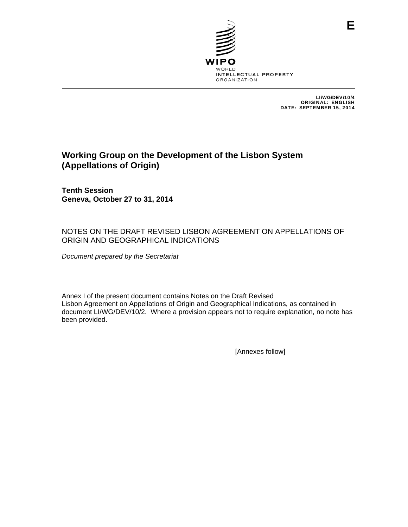

LI/WG/DEV/10/4 ORIGINAL: ENGLISH DATE: SEPTEMBER 15, 2014

# **Working Group on the Development of the Lisbon System (Appellations of Origin)**

**Tenth Session Geneva, October 27 to 31, 2014** 

# NOTES ON THE DRAFT REVISED LISBON AGREEMENT ON APPELLATIONS OF ORIGIN AND GEOGRAPHICAL INDICATIONS

*Document prepared by the Secretariat* 

Annex I of the present document contains Notes on the Draft Revised Lisbon Agreement on Appellations of Origin and Geographical Indications, as contained in document LI/WG/DEV/10/2. Where a provision appears not to require explanation, no note has been provided.

[Annexes follow]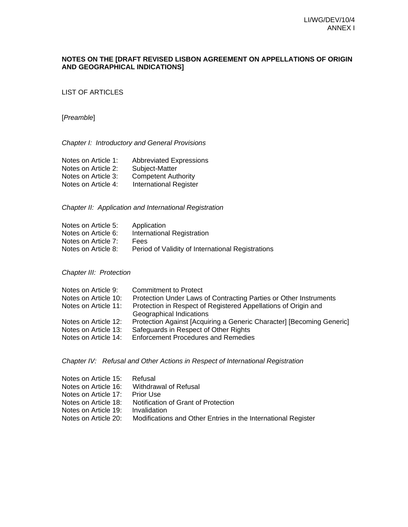### **NOTES ON THE [DRAFT REVISED LISBON AGREEMENT ON APPELLATIONS OF ORIGIN AND GEOGRAPHICAL INDICATIONS]**

LIST OF ARTICLES

[*Preamble*]

*Chapter I: Introductory and General Provisions* 

| Notes on Article 1: | <b>Abbreviated Expressions</b> |
|---------------------|--------------------------------|
| Notes on Article 2: | Subject-Matter                 |
| Notes on Article 3: | <b>Competent Authority</b>     |
| Notes on Article 4: | <b>International Register</b>  |

*Chapter II: Application and International Registration* 

| Notes on Article 5: | Application                                       |
|---------------------|---------------------------------------------------|
| Notes on Article 6: | International Registration                        |
| Notes on Article 7: | Fees                                              |
| Notes on Article 8: | Period of Validity of International Registrations |

*Chapter III: Protection* 

| <b>Commitment to Protect</b>                                          |
|-----------------------------------------------------------------------|
| Protection Under Laws of Contracting Parties or Other Instruments     |
| Protection in Respect of Registered Appellations of Origin and        |
| Geographical Indications                                              |
| Protection Against [Acquiring a Generic Character] [Becoming Generic] |
| Safeguards in Respect of Other Rights                                 |
| <b>Enforcement Procedures and Remedies</b>                            |
|                                                                       |

*Chapter IV: Refusal and Other Actions in Respect of International Registration* 

| Notes on Article 15: | Refusal                                                       |
|----------------------|---------------------------------------------------------------|
| Notes on Article 16: | Withdrawal of Refusal                                         |
| Notes on Article 17: | <b>Prior Use</b>                                              |
| Notes on Article 18: | Notification of Grant of Protection                           |
| Notes on Article 19: | Invalidation                                                  |
| Notes on Article 20: | Modifications and Other Entries in the International Register |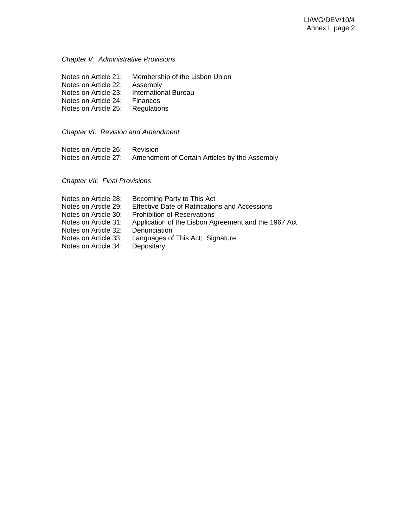### *Chapter V: Administrative Provisions*

| Notes on Article 21: | Membership of the Lisbon Union |
|----------------------|--------------------------------|
| Notes on Article 22: | Assembly                       |
| Notes on Article 23: | <b>International Bureau</b>    |
| Notes on Article 24: | Finances                       |
| Notes on Article 25: | Regulations                    |

*Chapter VI: Revision and Amendment* 

| Notes on Article 26: | Revision                                      |  |
|----------------------|-----------------------------------------------|--|
| Notes on Article 27: | Amendment of Certain Articles by the Assembly |  |

# *Chapter VII: Final Provisions*

| Becoming Party to This Act                            |
|-------------------------------------------------------|
| <b>Effective Date of Ratifications and Accessions</b> |
| <b>Prohibition of Reservations</b>                    |
| Application of the Lisbon Agreement and the 1967 Act  |
| Denunciation                                          |
| Languages of This Act; Signature                      |
| Depositary                                            |
|                                                       |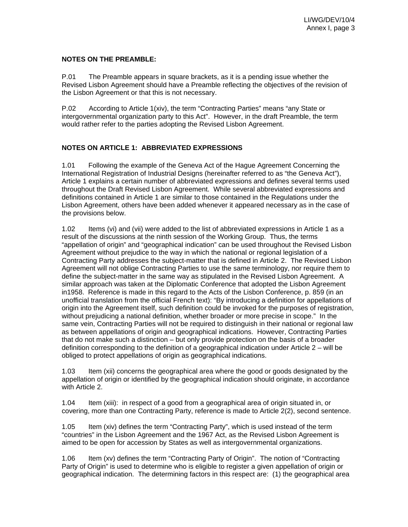#### **NOTES ON THE PREAMBLE:**

P.01 The Preamble appears in square brackets, as it is a pending issue whether the Revised Lisbon Agreement should have a Preamble reflecting the objectives of the revision of the Lisbon Agreement or that this is not necessary.

P.02 According to Article 1(xiv), the term "Contracting Parties" means "any State or intergovernmental organization party to this Act". However, in the draft Preamble, the term would rather refer to the parties adopting the Revised Lisbon Agreement.

# **NOTES ON ARTICLE 1: ABBREVIATED EXPRESSIONS**

1.01 Following the example of the Geneva Act of the Hague Agreement Concerning the International Registration of Industrial Designs (hereinafter referred to as "the Geneva Act"), Article 1 explains a certain number of abbreviated expressions and defines several terms used throughout the Draft Revised Lisbon Agreement. While several abbreviated expressions and definitions contained in Article 1 are similar to those contained in the Regulations under the Lisbon Agreement, others have been added whenever it appeared necessary as in the case of the provisions below.

1.02 Items (vi) and (vii) were added to the list of abbreviated expressions in Article 1 as a result of the discussions at the ninth session of the Working Group. Thus, the terms "appellation of origin" and "geographical indication" can be used throughout the Revised Lisbon Agreement without prejudice to the way in which the national or regional legislation of a Contracting Party addresses the subject-matter that is defined in Article 2. The Revised Lisbon Agreement will not oblige Contracting Parties to use the same terminology, nor require them to define the subject-matter in the same way as stipulated in the Revised Lisbon Agreement. A similar approach was taken at the Diplomatic Conference that adopted the Lisbon Agreement in1958. Reference is made in this regard to the Acts of the Lisbon Conference, p. 859 (in an unofficial translation from the official French text): "By introducing a definition for appellations of origin into the Agreement itself, such definition could be invoked for the purposes of registration, without prejudicing a national definition, whether broader or more precise in scope." In the same vein, Contracting Parties will not be required to distinguish in their national or regional law as between appellations of origin and geographical indications. However, Contracting Parties that do not make such a distinction – but only provide protection on the basis of a broader definition corresponding to the definition of a geographical indication under Article 2 – will be obliged to protect appellations of origin as geographical indications.

1.03 Item (xii) concerns the geographical area where the good or goods designated by the appellation of origin or identified by the geographical indication should originate, in accordance with Article 2.

1.04 Item (xiii): in respect of a good from a geographical area of origin situated in, or covering, more than one Contracting Party, reference is made to Article 2(2), second sentence.

1.05 Item (xiv) defines the term "Contracting Party", which is used instead of the term "countries" in the Lisbon Agreement and the 1967 Act, as the Revised Lisbon Agreement is aimed to be open for accession by States as well as intergovernmental organizations.

1.06 Item (xv) defines the term "Contracting Party of Origin". The notion of "Contracting Party of Origin" is used to determine who is eligible to register a given appellation of origin or geographical indication. The determining factors in this respect are: (1) the geographical area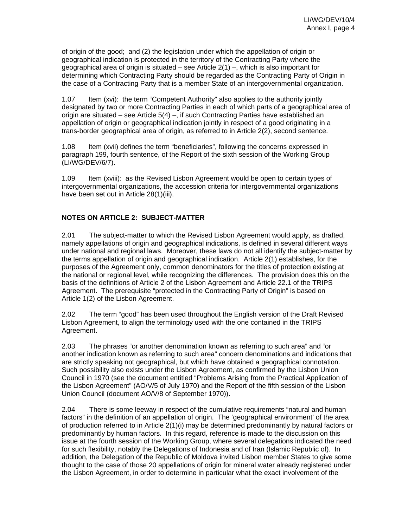of origin of the good; and (2) the legislation under which the appellation of origin or geographical indication is protected in the territory of the Contracting Party where the geographical area of origin is situated – see Article 2(1) –, which is also important for determining which Contracting Party should be regarded as the Contracting Party of Origin in the case of a Contracting Party that is a member State of an intergovernmental organization.

1.07 Item (xvi): the term "Competent Authority" also applies to the authority jointly designated by two or more Contracting Parties in each of which parts of a geographical area of origin are situated – see Article 5(4) –, if such Contracting Parties have established an appellation of origin or geographical indication jointly in respect of a good originating in a trans-border geographical area of origin, as referred to in Article 2(2), second sentence.

1.08 Item (xvii) defines the term "beneficiaries", following the concerns expressed in paragraph 199, fourth sentence, of the Report of the sixth session of the Working Group (LI/WG/DEV/6/7).

1.09 Item (xviii): as the Revised Lisbon Agreement would be open to certain types of intergovernmental organizations, the accession criteria for intergovernmental organizations have been set out in Article 28(1)(iii).

# **NOTES ON ARTICLE 2: SUBJECT-MATTER**

2.01 The subject-matter to which the Revised Lisbon Agreement would apply, as drafted, namely appellations of origin and geographical indications, is defined in several different ways under national and regional laws. Moreover, these laws do not all identify the subject-matter by the terms appellation of origin and geographical indication. Article 2(1) establishes, for the purposes of the Agreement only, common denominators for the titles of protection existing at the national or regional level, while recognizing the differences. The provision does this on the basis of the definitions of Article 2 of the Lisbon Agreement and Article 22.1 of the TRIPS Agreement. The prerequisite "protected in the Contracting Party of Origin" is based on Article 1(2) of the Lisbon Agreement.

2.02 The term "good" has been used throughout the English version of the Draft Revised Lisbon Agreement, to align the terminology used with the one contained in the TRIPS Agreement.

2.03 The phrases "or another denomination known as referring to such area" and "or another indication known as referring to such area" concern denominations and indications that are strictly speaking not geographical, but which have obtained a geographical connotation. Such possibility also exists under the Lisbon Agreement, as confirmed by the Lisbon Union Council in 1970 (see the document entitled "Problems Arising from the Practical Application of the Lisbon Agreement" (AO/V/5 of July 1970) and the Report of the fifth session of the Lisbon Union Council (document AO/V/8 of September 1970)).

2.04 There is some leeway in respect of the cumulative requirements "natural and human factors" in the definition of an appellation of origin. The 'geographical environment' of the area of production referred to in Article 2(1)(i) may be determined predominantly by natural factors or predominantly by human factors. In this regard, reference is made to the discussion on this issue at the fourth session of the Working Group, where several delegations indicated the need for such flexibility, notably the Delegations of Indonesia and of Iran (Islamic Republic of). In addition, the Delegation of the Republic of Moldova invited Lisbon member States to give some thought to the case of those 20 appellations of origin for mineral water already registered under the Lisbon Agreement, in order to determine in particular what the exact involvement of the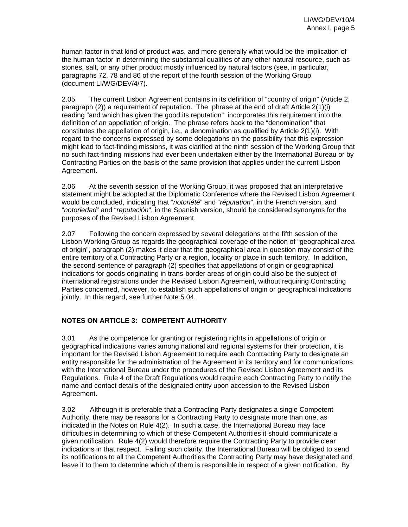human factor in that kind of product was, and more generally what would be the implication of the human factor in determining the substantial qualities of any other natural resource, such as stones, salt, or any other product mostly influenced by natural factors (see, in particular, paragraphs 72, 78 and 86 of the report of the fourth session of the Working Group (document LI/WG/DEV/4/7).

2.05 The current Lisbon Agreement contains in its definition of "country of origin" (Article 2, paragraph (2)) a requirement of reputation. The phrase at the end of draft Article 2(1)(i) reading "and which has given the good its reputation" incorporates this requirement into the definition of an appellation of origin. The phrase refers back to the "denomination" that constitutes the appellation of origin, i.e., a denomination as qualified by Article 2(1)(i). With regard to the concerns expressed by some delegations on the possibility that this expression might lead to fact-finding missions, it was clarified at the ninth session of the Working Group that no such fact-finding missions had ever been undertaken either by the International Bureau or by Contracting Parties on the basis of the same provision that applies under the current Lisbon Agreement.

2.06 At the seventh session of the Working Group, it was proposed that an interpretative statement might be adopted at the Diplomatic Conference where the Revised Lisbon Agreement would be concluded, indicating that "*notoriété*" and "*réputation*", in the French version, and "*notoriedad*" and "*reputación*", in the Spanish version, should be considered synonyms for the purposes of the Revised Lisbon Agreement.

2.07 Following the concern expressed by several delegations at the fifth session of the Lisbon Working Group as regards the geographical coverage of the notion of "geographical area of origin", paragraph (2) makes it clear that the geographical area in question may consist of the entire territory of a Contracting Party or a region, locality or place in such territory. In addition, the second sentence of paragraph (2) specifies that appellations of origin or geographical indications for goods originating in trans-border areas of origin could also be the subject of international registrations under the Revised Lisbon Agreement, without requiring Contracting Parties concerned, however, to establish such appellations of origin or geographical indications jointly. In this regard, see further Note 5.04.

# **NOTES ON ARTICLE 3: COMPETENT AUTHORITY**

3.01 As the competence for granting or registering rights in appellations of origin or geographical indications varies among national and regional systems for their protection, it is important for the Revised Lisbon Agreement to require each Contracting Party to designate an entity responsible for the administration of the Agreement in its territory and for communications with the International Bureau under the procedures of the Revised Lisbon Agreement and its Regulations. Rule 4 of the Draft Regulations would require each Contracting Party to notify the name and contact details of the designated entity upon accession to the Revised Lisbon Agreement.

3.02 Although it is preferable that a Contracting Party designates a single Competent Authority, there may be reasons for a Contracting Party to designate more than one, as indicated in the Notes on Rule 4(2). In such a case, the International Bureau may face difficulties in determining to which of these Competent Authorities it should communicate a given notification. Rule 4(2) would therefore require the Contracting Party to provide clear indications in that respect. Failing such clarity, the International Bureau will be obliged to send its notifications to all the Competent Authorities the Contracting Party may have designated and leave it to them to determine which of them is responsible in respect of a given notification. By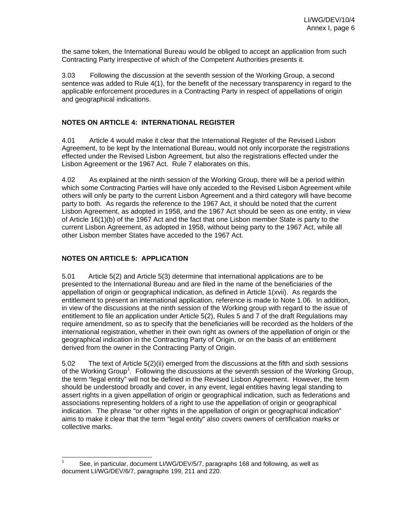the same token, the International Bureau would be obliged to accept an application from such Contracting Party irrespective of which of the Competent Authorities presents it.

3.03 Following the discussion at the seventh session of the Working Group, a second sentence was added to Rule 4(1), for the benefit of the necessary transparency in regard to the applicable enforcement procedures in a Contracting Party in respect of appellations of origin and geographical indications.

### **NOTES ON ARTICLE 4: INTERNATIONAL REGISTER**

4.01 Article 4 would make it clear that the International Register of the Revised Lisbon Agreement, to be kept by the International Bureau, would not only incorporate the registrations effected under the Revised Lisbon Agreement, but also the registrations effected under the Lisbon Agreement or the 1967 Act. Rule 7 elaborates on this.

4.02 As explained at the ninth session of the Working Group, there will be a period within which some Contracting Parties will have only acceded to the Revised Lisbon Agreement while others will only be party to the current Lisbon Agreement and a third category will have become party to both. As regards the reference to the 1967 Act, it should be noted that the current Lisbon Agreement, as adopted in 1958, and the 1967 Act should be seen as one entity, in view of Article 16(1)(b) of the 1967 Act and the fact that one Lisbon member State is party to the current Lisbon Agreement, as adopted in 1958, without being party to the 1967 Act, while all other Lisbon member States have acceded to the 1967 Act.

# **NOTES ON ARTICLE 5: APPLICATION**

5.01 Article 5(2) and Article 5(3) determine that international applications are to be presented to the International Bureau and are filed in the name of the beneficiaries of the appellation of origin or geographical indication, as defined in Article 1(xvii). As regards the entitlement to present an international application, reference is made to Note 1.06. In addition, in view of the discussions at the ninth session of the Working group with regard to the issue of entitlement to file an application under Article 5(2), Rules 5 and 7 of the draft Regulations may require amendment, so as to specify that the beneficiaries will be recorded as the holders of the international registration, whether in their own right as owners of the appellation of origin or the geographical indication in the Contracting Party of Origin, or on the basis of an entitlement derived from the owner in the Contracting Party of Origin.

5.02 The text of Article 5(2)(ii) emerged from the discussions at the fifth and sixth sessions of the Working Group<sup>1</sup>. Following the discussions at the seventh session of the Working Group, the term "legal entity" will not be defined in the Revised Lisbon Agreement. However, the term should be understood broadly and cover, in any event, legal entities having legal standing to assert rights in a given appellation of origin or geographical indication, such as federations and associations representing holders of a right to use the appellation of origin or geographical indication. The phrase "or other rights in the appellation of origin or geographical indication" aims to make it clear that the term "legal entity" also covers owners of certification marks or collective marks.

 $\overline{a}$ 1 See, in particular, document LI/WG/DEV/5/7, paragraphs 168 and following, as well as document LI/WG/DEV/6/7, paragraphs 199, 211 and 220.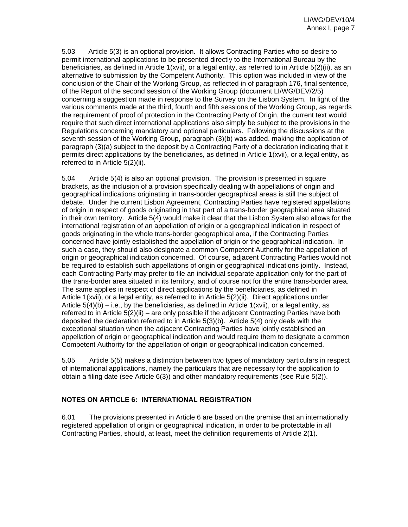5.03 Article 5(3) is an optional provision. It allows Contracting Parties who so desire to permit international applications to be presented directly to the International Bureau by the beneficiaries, as defined in Article 1(xvii), or a legal entity, as referred to in Article 5(2)(ii), as an alternative to submission by the Competent Authority. This option was included in view of the conclusion of the Chair of the Working Group, as reflected in of paragraph 176, final sentence, of the Report of the second session of the Working Group (document LI/WG/DEV/2/5) concerning a suggestion made in response to the Survey on the Lisbon System. In light of the various comments made at the third, fourth and fifth sessions of the Working Group, as regards the requirement of proof of protection in the Contracting Party of Origin, the current text would require that such direct international applications also simply be subject to the provisions in the Regulations concerning mandatory and optional particulars. Following the discussions at the seventh session of the Working Group, paragraph (3)(b) was added, making the application of paragraph (3)(a) subject to the deposit by a Contracting Party of a declaration indicating that it permits direct applications by the beneficiaries, as defined in Article 1(xvii), or a legal entity, as referred to in Article 5(2)(ii).

5.04 Article 5(4) is also an optional provision. The provision is presented in square brackets, as the inclusion of a provision specifically dealing with appellations of origin and geographical indications originating in trans-border geographical areas is still the subject of debate. Under the current Lisbon Agreement, Contracting Parties have registered appellations of origin in respect of goods originating in that part of a trans-border geographical area situated in their own territory. Article 5(4) would make it clear that the Lisbon System also allows for the international registration of an appellation of origin or a geographical indication in respect of goods originating in the whole trans-border geographical area, if the Contracting Parties concerned have jointly established the appellation of origin or the geographical indication. In such a case, they should also designate a common Competent Authority for the appellation of origin or geographical indication concerned. Of course, adjacent Contracting Parties would not be required to establish such appellations of origin or geographical indications jointly. Instead, each Contracting Party may prefer to file an individual separate application only for the part of the trans-border area situated in its territory, and of course not for the entire trans-border area. The same applies in respect of direct applications by the beneficiaries, as defined in Article 1(xvii), or a legal entity, as referred to in Article 5(2)(ii). Direct applications under Article  $5(4)(b) - i.e.,$  by the beneficiaries, as defined in Article 1(xvii), or a legal entity, as referred to in Article 5(2)(ii) – are only possible if the adjacent Contracting Parties have both deposited the declaration referred to in Article 5(3)(b). Article 5(4) only deals with the exceptional situation when the adjacent Contracting Parties have jointly established an appellation of origin or geographical indication and would require them to designate a common Competent Authority for the appellation of origin or geographical indication concerned.

5.05 Article 5(5) makes a distinction between two types of mandatory particulars in respect of international applications, namely the particulars that are necessary for the application to obtain a filing date (see Article 6(3)) and other mandatory requirements (see Rule 5(2)).

### **NOTES ON ARTICLE 6: INTERNATIONAL REGISTRATION**

6.01 The provisions presented in Article 6 are based on the premise that an internationally registered appellation of origin or geographical indication, in order to be protectable in all Contracting Parties, should, at least, meet the definition requirements of Article 2(1).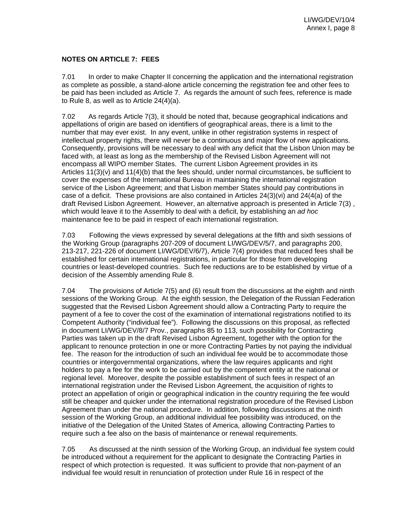### **NOTES ON ARTICLE 7: FEES**

7.01 In order to make Chapter II concerning the application and the international registration as complete as possible, a stand-alone article concerning the registration fee and other fees to be paid has been included as Article 7. As regards the amount of such fees, reference is made to Rule 8, as well as to Article 24(4)(a).

7.02 As regards Article 7(3), it should be noted that, because geographical indications and appellations of origin are based on identifiers of geographical areas, there is a limit to the number that may ever exist. In any event, unlike in other registration systems in respect of intellectual property rights, there will never be a continuous and major flow of new applications. Consequently, provisions will be necessary to deal with any deficit that the Lisbon Union may be faced with, at least as long as the membership of the Revised Lisbon Agreement will not encompass all WIPO member States. The current Lisbon Agreement provides in its Articles 11(3)(v) and 11(4)(b) that the fees should, under normal circumstances, be sufficient to cover the expenses of the International Bureau in maintaining the international registration service of the Lisbon Agreement; and that Lisbon member States should pay contributions in case of a deficit. These provisions are also contained in Articles  $24(3)(vi)$  and  $24(4(a)$  of the draft Revised Lisbon Agreement. However, an alternative approach is presented in Article 7(3) , which would leave it to the Assembly to deal with a deficit, by establishing an *ad hoc* maintenance fee to be paid in respect of each international registration.

7.03 Following the views expressed by several delegations at the fifth and sixth sessions of the Working Group (paragraphs 207-209 of document LI/WG/DEV/5/7, and paragraphs 200, 213-217, 221-226 of document LI/WG/DEV/6/7), Article 7(4) provides that reduced fees shall be established for certain international registrations, in particular for those from developing countries or least-developed countries. Such fee reductions are to be established by virtue of a decision of the Assembly amending Rule 8.

7.04 The provisions of Article 7(5) and (6) result from the discussions at the eighth and ninth sessions of the Working Group. At the eighth session, the Delegation of the Russian Federation suggested that the Revised Lisbon Agreement should allow a Contracting Party to require the payment of a fee to cover the cost of the examination of international registrations notified to its Competent Authority ("individual fee"). Following the discussions on this proposal, as reflected in document LI/WG/DEV/8/7 Prov., paragraphs 85 to 113, such possibility for Contracting Parties was taken up in the draft Revised Lisbon Agreement, together with the option for the applicant to renounce protection in one or more Contracting Parties by not paying the individual fee. The reason for the introduction of such an individual fee would be to accommodate those countries or intergovernmental organizations, where the law requires applicants and right holders to pay a fee for the work to be carried out by the competent entity at the national or regional level. Moreover, despite the possible establishment of such fees in respect of an international registration under the Revised Lisbon Agreement, the acquisition of rights to protect an appellation of origin or geographical indication in the country requiring the fee would still be cheaper and quicker under the international registration procedure of the Revised Lisbon Agreement than under the national procedure. In addition, following discussions at the ninth session of the Working Group, an additional individual fee possibility was introduced, on the initiative of the Delegation of the United States of America, allowing Contracting Parties to require such a fee also on the basis of maintenance or renewal requirements.

7.05 As discussed at the ninth session of the Working Group, an individual fee system could be introduced without a requirement for the applicant to designate the Contracting Parties in respect of which protection is requested. It was sufficient to provide that non-payment of an individual fee would result in renunciation of protection under Rule 16 in respect of the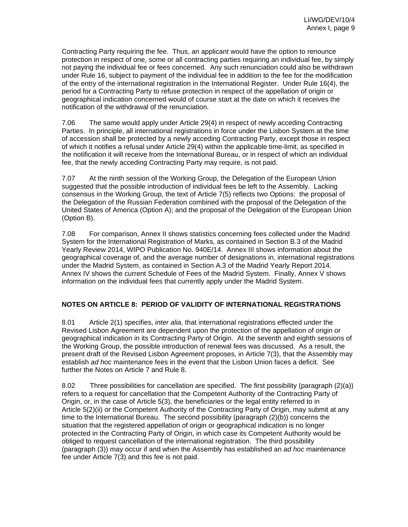Contracting Party requiring the fee. Thus, an applicant would have the option to renounce protection in respect of one, some or all contracting parties requiring an individual fee, by simply not paying the individual fee or fees concerned. Any such renunciation could also be withdrawn under Rule 16, subject to payment of the individual fee in addition to the fee for the modification of the entry of the international registration in the International Register. Under Rule 16(4), the period for a Contracting Party to refuse protection in respect of the appellation of origin or geographical indication concerned would of course start at the date on which it receives the notification of the withdrawal of the renunciation.

7.06 The same would apply under Article 29(4) in respect of newly acceding Contracting Parties. In principle, all international registrations in force under the Lisbon System at the time of accession shall be protected by a newly acceding Contracting Party, except those in respect of which it notifies a refusal under Article 29(4) within the applicable time-limit, as specified in the notification it will receive from the International Bureau, or in respect of which an individual fee, that the newly acceding Contracting Party may require, is not paid.

7.07 At the ninth session of the Working Group, the Delegation of the European Union suggested that the possible introduction of individual fees be left to the Assembly. Lacking consensus in the Working Group, the text of Article 7(5) reflects two Options: the proposal of the Delegation of the Russian Federation combined with the proposal of the Delegation of the United States of America (Option A); and the proposal of the Delegation of the European Union (Option B).

7.08 For comparison, Annex II shows statistics concerning fees collected under the Madrid System for the International Registration of Marks, as contained in Section B.3 of the Madrid Yearly Review 2014, WIPO Publication No. 940E/14. Annex III shows information about the geographical coverage of, and the average number of designations in, international registrations under the Madrid System, as contained in Section A.3 of the Madrid Yearly Report 2014. Annex IV shows the current Schedule of Fees of the Madrid System. Finally, Annex V shows information on the individual fees that currently apply under the Madrid System.

# **NOTES ON ARTICLE 8: PERIOD OF VALIDITY OF INTERNATIONAL REGISTRATIONS**

8.01 Article 2(1) specifies, *inter alia*, that international registrations effected under the Revised Lisbon Agreement are dependent upon the protection of the appellation of origin or geographical indication in its Contracting Party of Origin. At the seventh and eighth sessions of the Working Group, the possible introduction of renewal fees was discussed. As a result, the present draft of the Revised Lisbon Agreement proposes, in Article 7(3), that the Assembly may establish *ad hoc* maintenance fees in the event that the Lisbon Union faces a deficit. See further the Notes on Article 7 and Rule 8.

8.02 Three possibilities for cancellation are specified. The first possibility (paragraph (2)(a)) refers to a request for cancellation that the Competent Authority of the Contracting Party of Origin, or, in the case of Article 5(3), the beneficiaries or the legal entity referred to in Article 5(2)(ii) or the Competent Authority of the Contracting Party of Origin, may submit at any time to the International Bureau. The second possibility (paragraph (2)(b)) concerns the situation that the registered appellation of origin or geographical indication is no longer protected in the Contracting Party of Origin, in which case its Competent Authority would be obliged to request cancellation of the international registration. The third possibility (paragraph (3)) may occur if and when the Assembly has established an *ad hoc* maintenance fee under Article 7(3) and this fee is not paid.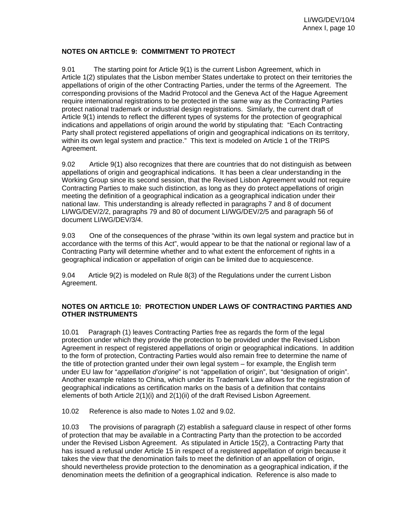### **NOTES ON ARTICLE 9: COMMITMENT TO PROTECT**

9.01 The starting point for Article 9(1) is the current Lisbon Agreement, which in Article 1(2) stipulates that the Lisbon member States undertake to protect on their territories the appellations of origin of the other Contracting Parties, under the terms of the Agreement. The corresponding provisions of the Madrid Protocol and the Geneva Act of the Hague Agreement require international registrations to be protected in the same way as the Contracting Parties protect national trademark or industrial design registrations. Similarly, the current draft of Article 9(1) intends to reflect the different types of systems for the protection of geographical indications and appellations of origin around the world by stipulating that: "Each Contracting Party shall protect registered appellations of origin and geographical indications on its territory, within its own legal system and practice." This text is modeled on Article 1 of the TRIPS Agreement.

9.02 Article 9(1) also recognizes that there are countries that do not distinguish as between appellations of origin and geographical indications. It has been a clear understanding in the Working Group since its second session, that the Revised Lisbon Agreement would not require Contracting Parties to make such distinction, as long as they do protect appellations of origin meeting the definition of a geographical indication as a geographical indication under their national law. This understanding is already reflected in paragraphs 7 and 8 of document LI/WG/DEV/2/2, paragraphs 79 and 80 of document LI/WG/DEV/2/5 and paragraph 56 of document LI/WG/DEV/3/4.

9.03 One of the consequences of the phrase "within its own legal system and practice but in accordance with the terms of this Act", would appear to be that the national or regional law of a Contracting Party will determine whether and to what extent the enforcement of rights in a geographical indication or appellation of origin can be limited due to acquiescence.

9.04 Article 9(2) is modeled on Rule 8(3) of the Regulations under the current Lisbon Agreement.

### **NOTES ON ARTICLE 10: PROTECTION UNDER LAWS OF CONTRACTING PARTIES AND OTHER INSTRUMENTS**

10.01 Paragraph (1) leaves Contracting Parties free as regards the form of the legal protection under which they provide the protection to be provided under the Revised Lisbon Agreement in respect of registered appellations of origin or geographical indications. In addition to the form of protection, Contracting Parties would also remain free to determine the name of the title of protection granted under their own legal system – for example, the English term under EU law for "*appellation d'origine*" is not "appellation of origin", but "designation of origin". Another example relates to China, which under its Trademark Law allows for the registration of geographical indications as certification marks on the basis of a definition that contains elements of both Article 2(1)(i) and 2(1)(ii) of the draft Revised Lisbon Agreement.

10.02 Reference is also made to Notes 1.02 and 9.02.

10.03 The provisions of paragraph (2) establish a safeguard clause in respect of other forms of protection that may be available in a Contracting Party than the protection to be accorded under the Revised Lisbon Agreement. As stipulated in Article 15(2), a Contracting Party that has issued a refusal under Article 15 in respect of a registered appellation of origin because it takes the view that the denomination fails to meet the definition of an appellation of origin, should nevertheless provide protection to the denomination as a geographical indication, if the denomination meets the definition of a geographical indication. Reference is also made to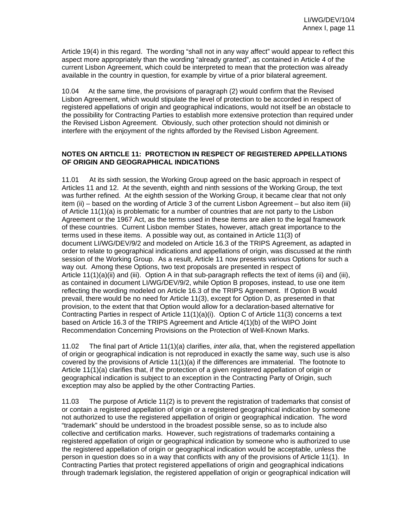Article 19(4) in this regard. The wording "shall not in any way affect" would appear to reflect this aspect more appropriately than the wording "already granted", as contained in Article 4 of the current Lisbon Agreement, which could be interpreted to mean that the protection was already available in the country in question, for example by virtue of a prior bilateral agreement.

10.04 At the same time, the provisions of paragraph (2) would confirm that the Revised Lisbon Agreement, which would stipulate the level of protection to be accorded in respect of registered appellations of origin and geographical indications, would not itself be an obstacle to the possibility for Contracting Parties to establish more extensive protection than required under the Revised Lisbon Agreement. Obviously, such other protection should not diminish or interfere with the enjoyment of the rights afforded by the Revised Lisbon Agreement.

#### **NOTES ON ARTICLE 11: PROTECTION IN RESPECT OF REGISTERED APPELLATIONS OF ORIGIN AND GEOGRAPHICAL INDICATIONS**

11.01 At its sixth session, the Working Group agreed on the basic approach in respect of Articles 11 and 12. At the seventh, eighth and ninth sessions of the Working Group, the text was further refined. At the eighth session of the Working Group, it became clear that not only item (ii) – based on the wording of Article 3 of the current Lisbon Agreement – but also item (iii) of Article 11(1)(a) is problematic for a number of countries that are not party to the Lisbon Agreement or the 1967 Act, as the terms used in these items are alien to the legal framework of these countries. Current Lisbon member States, however, attach great importance to the terms used in these items. A possible way out, as contained in Article 11(3) of document LI/WG/DEV/9/2 and modeled on Article 16.3 of the TRIPS Agreement, as adapted in order to relate to geographical indications and appellations of origin, was discussed at the ninth session of the Working Group. As a result, Article 11 now presents various Options for such a way out. Among these Options, two text proposals are presented in respect of Article 11(1)(a)(ii) and (iii). Option A in that sub-paragraph reflects the text of items (ii) and (iii), as contained in document LI/WG/DEV/9/2, while Option B proposes, instead, to use one item reflecting the wording modeled on Article 16.3 of the TRIPS Agreement. If Option B would prevail, there would be no need for Article 11(3), except for Option D, as presented in that provision, to the extent that that Option would allow for a declaration-based alternative for Contracting Parties in respect of Article 11(1)(a)(i). Option C of Article 11(3) concerns a text based on Article 16.3 of the TRIPS Agreement and Article 4(1)(b) of the WIPO Joint Recommendation Concerning Provisions on the Protection of Well-Known Marks.

11.02 The final part of Article 11(1)(a) clarifies, *inter alia*, that, when the registered appellation of origin or geographical indication is not reproduced in exactly the same way, such use is also covered by the provisions of Article 11(1)(a) if the differences are immaterial. The footnote to Article 11(1)(a) clarifies that, if the protection of a given registered appellation of origin or geographical indication is subject to an exception in the Contracting Party of Origin, such exception may also be applied by the other Contracting Parties.

11.03 The purpose of Article 11(2) is to prevent the registration of trademarks that consist of or contain a registered appellation of origin or a registered geographical indication by someone not authorized to use the registered appellation of origin or geographical indication. The word "trademark" should be understood in the broadest possible sense, so as to include also collective and certification marks. However, such registrations of trademarks containing a registered appellation of origin or geographical indication by someone who is authorized to use the registered appellation of origin or geographical indication would be acceptable, unless the person in question does so in a way that conflicts with any of the provisions of Article 11(1). In Contracting Parties that protect registered appellations of origin and geographical indications through trademark legislation, the registered appellation of origin or geographical indication will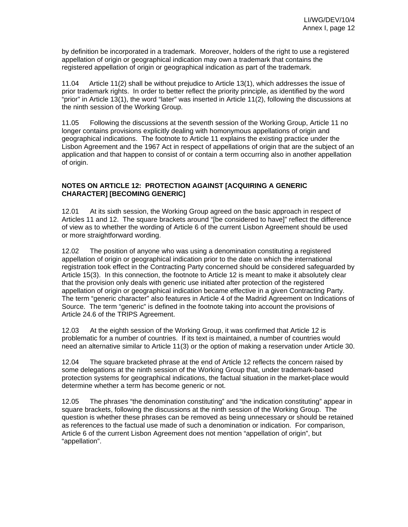by definition be incorporated in a trademark. Moreover, holders of the right to use a registered appellation of origin or geographical indication may own a trademark that contains the registered appellation of origin or geographical indication as part of the trademark.

11.04 Article 11(2) shall be without prejudice to Article 13(1), which addresses the issue of prior trademark rights. In order to better reflect the priority principle, as identified by the word "prior" in Article 13(1), the word "later" was inserted in Article 11(2), following the discussions at the ninth session of the Working Group.

11.05 Following the discussions at the seventh session of the Working Group, Article 11 no longer contains provisions explicitly dealing with homonymous appellations of origin and geographical indications. The footnote to Article 11 explains the existing practice under the Lisbon Agreement and the 1967 Act in respect of appellations of origin that are the subject of an application and that happen to consist of or contain a term occurring also in another appellation of origin.

### **NOTES ON ARTICLE 12: PROTECTION AGAINST [ACQUIRING A GENERIC CHARACTER] [BECOMING GENERIC]**

12.01 At its sixth session, the Working Group agreed on the basic approach in respect of Articles 11 and 12. The square brackets around "[be considered to have]" reflect the difference of view as to whether the wording of Article 6 of the current Lisbon Agreement should be used or more straightforward wording.

12.02 The position of anyone who was using a denomination constituting a registered appellation of origin or geographical indication prior to the date on which the international registration took effect in the Contracting Party concerned should be considered safeguarded by Article 15(3). In this connection, the footnote to Article 12 is meant to make it absolutely clear that the provision only deals with generic use initiated after protection of the registered appellation of origin or geographical indication became effective in a given Contracting Party. The term "generic character" also features in Article 4 of the Madrid Agreement on Indications of Source. The term "generic" is defined in the footnote taking into account the provisions of Article 24.6 of the TRIPS Agreement.

12.03 At the eighth session of the Working Group, it was confirmed that Article 12 is problematic for a number of countries. If its text is maintained, a number of countries would need an alternative similar to Article 11(3) or the option of making a reservation under Article 30.

12.04 The square bracketed phrase at the end of Article 12 reflects the concern raised by some delegations at the ninth session of the Working Group that, under trademark-based protection systems for geographical indications, the factual situation in the market-place would determine whether a term has become generic or not.

12.05 The phrases "the denomination constituting" and "the indication constituting" appear in square brackets, following the discussions at the ninth session of the Working Group. The question is whether these phrases can be removed as being unnecessary or should be retained as references to the factual use made of such a denomination or indication. For comparison, Article 6 of the current Lisbon Agreement does not mention "appellation of origin", but "appellation".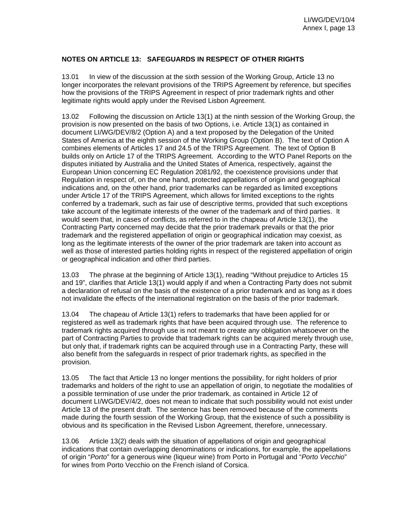### **NOTES ON ARTICLE 13: SAFEGUARDS IN RESPECT OF OTHER RIGHTS**

13.01 In view of the discussion at the sixth session of the Working Group, Article 13 no longer incorporates the relevant provisions of the TRIPS Agreement by reference, but specifies how the provisions of the TRIPS Agreement in respect of prior trademark rights and other legitimate rights would apply under the Revised Lisbon Agreement.

13.02 Following the discussion on Article 13(1) at the ninth session of the Working Group, the provision is now presented on the basis of two Options, i.e. Article 13(1) as contained in document LI/WG/DEV/8/2 (Option A) and a text proposed by the Delegation of the United States of America at the eighth session of the Working Group (Option B). The text of Option A combines elements of Articles 17 and 24.5 of the TRIPS Agreement. The text of Option B builds only on Article 17 of the TRIPS Agreement. According to the WTO Panel Reports on the disputes initiated by Australia and the United States of America, respectively, against the European Union concerning EC Regulation 2081/92, the coexistence provisions under that Regulation in respect of, on the one hand, protected appellations of origin and geographical indications and, on the other hand, prior trademarks can be regarded as limited exceptions under Article 17 of the TRIPS Agreement, which allows for limited exceptions to the rights conferred by a trademark, such as fair use of descriptive terms, provided that such exceptions take account of the legitimate interests of the owner of the trademark and of third parties. It would seem that, in cases of conflicts, as referred to in the chapeau of Article 13(1), the Contracting Party concerned may decide that the prior trademark prevails or that the prior trademark and the registered appellation of origin or geographical indication may coexist, as long as the legitimate interests of the owner of the prior trademark are taken into account as well as those of interested parties holding rights in respect of the registered appellation of origin or geographical indication and other third parties.

13.03 The phrase at the beginning of Article 13(1), reading "Without prejudice to Articles 15 and 19", clarifies that Article 13(1) would apply if and when a Contracting Party does not submit a declaration of refusal on the basis of the existence of a prior trademark and as long as it does not invalidate the effects of the international registration on the basis of the prior trademark.

13.04 The chapeau of Article 13(1) refers to trademarks that have been applied for or registered as well as trademark rights that have been acquired through use. The reference to trademark rights acquired through use is not meant to create any obligation whatsoever on the part of Contracting Parties to provide that trademark rights can be acquired merely through use, but only that, if trademark rights can be acquired through use in a Contracting Party, these will also benefit from the safeguards in respect of prior trademark rights, as specified in the provision.

13.05 The fact that Article 13 no longer mentions the possibility, for right holders of prior trademarks and holders of the right to use an appellation of origin, to negotiate the modalities of a possible termination of use under the prior trademark, as contained in Article 12 of document LI/WG/DEV/4/2, does not mean to indicate that such possibility would not exist under Article 13 of the present draft. The sentence has been removed because of the comments made during the fourth session of the Working Group, that the existence of such a possibility is obvious and its specification in the Revised Lisbon Agreement, therefore, unnecessary.

13.06 Article 13(2) deals with the situation of appellations of origin and geographical indications that contain overlapping denominations or indications, for example, the appellations of origin "*Porto*" for a generous wine (liqueur wine) from Porto in Portugal and "*Porto Vecchio*" for wines from Porto Vecchio on the French island of Corsica.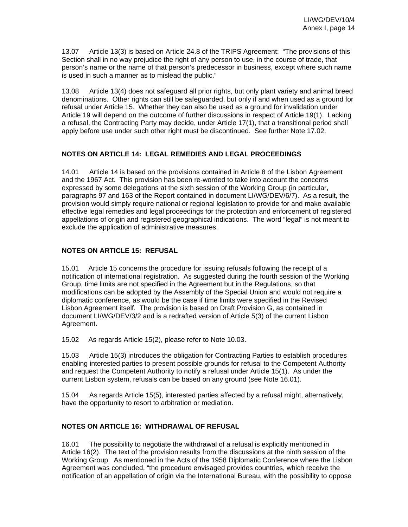13.07 Article 13(3) is based on Article 24.8 of the TRIPS Agreement: "The provisions of this Section shall in no way prejudice the right of any person to use, in the course of trade, that person's name or the name of that person's predecessor in business, except where such name is used in such a manner as to mislead the public."

13.08 Article 13(4) does not safeguard all prior rights, but only plant variety and animal breed denominations. Other rights can still be safeguarded, but only if and when used as a ground for refusal under Article 15. Whether they can also be used as a ground for invalidation under Article 19 will depend on the outcome of further discussions in respect of Article 19(1). Lacking a refusal, the Contracting Party may decide, under Article 17(1), that a transitional period shall apply before use under such other right must be discontinued. See further Note 17.02.

### **NOTES ON ARTICLE 14: LEGAL REMEDIES AND LEGAL PROCEEDINGS**

14.01 Article 14 is based on the provisions contained in Article 8 of the Lisbon Agreement and the 1967 Act. This provision has been re-worded to take into account the concerns expressed by some delegations at the sixth session of the Working Group (in particular, paragraphs 97 and 163 of the Report contained in document LI/WG/DEV/6/7). As a result, the provision would simply require national or regional legislation to provide for and make available effective legal remedies and legal proceedings for the protection and enforcement of registered appellations of origin and registered geographical indications. The word "legal" is not meant to exclude the application of administrative measures.

### **NOTES ON ARTICLE 15: REFUSAL**

15.01 Article 15 concerns the procedure for issuing refusals following the receipt of a notification of international registration. As suggested during the fourth session of the Working Group, time limits are not specified in the Agreement but in the Regulations, so that modifications can be adopted by the Assembly of the Special Union and would not require a diplomatic conference, as would be the case if time limits were specified in the Revised Lisbon Agreement itself. The provision is based on Draft Provision G, as contained in document LI/WG/DEV/3/2 and is a redrafted version of Article 5(3) of the current Lisbon Agreement.

15.02 As regards Article 15(2), please refer to Note 10.03.

15.03 Article 15(3) introduces the obligation for Contracting Parties to establish procedures enabling interested parties to present possible grounds for refusal to the Competent Authority and request the Competent Authority to notify a refusal under Article 15(1). As under the current Lisbon system, refusals can be based on any ground (see Note 16.01).

15.04 As regards Article 15(5), interested parties affected by a refusal might, alternatively, have the opportunity to resort to arbitration or mediation.

# **NOTES ON ARTICLE 16: WITHDRAWAL OF REFUSAL**

16.01 The possibility to negotiate the withdrawal of a refusal is explicitly mentioned in Article 16(2). The text of the provision results from the discussions at the ninth session of the Working Group. As mentioned in the Acts of the 1958 Diplomatic Conference where the Lisbon Agreement was concluded, "the procedure envisaged provides countries, which receive the notification of an appellation of origin via the International Bureau, with the possibility to oppose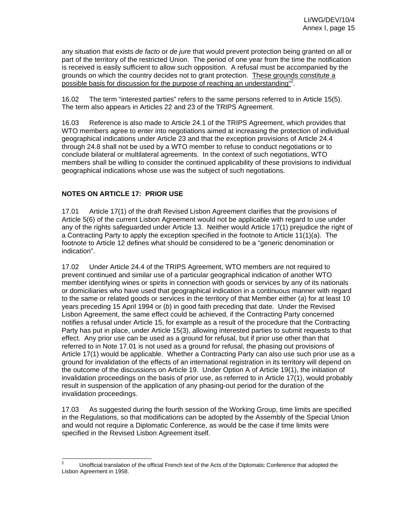any situation that exists *de facto* or *de jure* that would prevent protection being granted on all or part of the territory of the restricted Union. The period of one year from the time the notification is received is easily sufficient to allow such opposition. A refusal must be accompanied by the grounds on which the country decides not to grant protection. These grounds constitute a possible basis for discussion for the purpose of reaching an understanding"<sup>2</sup>.

16.02 The term "interested parties" refers to the same persons referred to in Article 15(5). The term also appears in Articles 22 and 23 of the TRIPS Agreement.

16.03 Reference is also made to Article 24.1 of the TRIPS Agreement, which provides that WTO members agree to enter into negotiations aimed at increasing the protection of individual geographical indications under Article 23 and that the exception provisions of Article 24.4 through 24.8 shall not be used by a WTO member to refuse to conduct negotiations or to conclude bilateral or multilateral agreements. In the context of such negotiations, WTO members shall be willing to consider the continued applicability of these provisions to individual geographical indications whose use was the subject of such negotiations.

### **NOTES ON ARTICLE 17: PRIOR USE**

17.01 Article 17(1) of the draft Revised Lisbon Agreement clarifies that the provisions of Article 5(6) of the current Lisbon Agreement would not be applicable with regard to use under any of the rights safeguarded under Article 13. Neither would Article 17(1) prejudice the right of a Contracting Party to apply the exception specified in the footnote to Article 11(1)(a). The footnote to Article 12 defines what should be considered to be a "generic denomination or indication".

17.02 Under Article 24.4 of the TRIPS Agreement, WTO members are not required to prevent continued and similar use of a particular geographical indication of another WTO member identifying wines or spirits in connection with goods or services by any of its nationals or domiciliaries who have used that geographical indication in a continuous manner with regard to the same or related goods or services in the territory of that Member either (*a*) for at least 10 years preceding 15 April 1994 or (*b*) in good faith preceding that date. Under the Revised Lisbon Agreement, the same effect could be achieved, if the Contracting Party concerned notifies a refusal under Article 15, for example as a result of the procedure that the Contracting Party has put in place, under Article 15(3), allowing interested parties to submit requests to that effect. Any prior use can be used as a ground for refusal, but if prior use other than that referred to in Note 17.01 is not used as a ground for refusal, the phasing out provisions of Article 17(1) would be applicable. Whether a Contracting Party can also use such prior use as a ground for invalidation of the effects of an international registration in its territory will depend on the outcome of the discussions on Article 19. Under Option A of Article 19(1), the initiation of invalidation proceedings on the basis of prior use, as referred to in Article 17(1), would probably result in suspension of the application of any phasing-out period for the duration of the invalidation proceedings.

17.03 As suggested during the fourth session of the Working Group, time limits are specified in the Regulations, so that modifications can be adopted by the Assembly of the Special Union and would not require a Diplomatic Conference, as would be the case if time limits were specified in the Revised Lisbon Agreement itself.

 $\frac{1}{2}$  Unofficial translation of the official French text of the Acts of the Diplomatic Conference that adopted the Lisbon Agreement in 1958.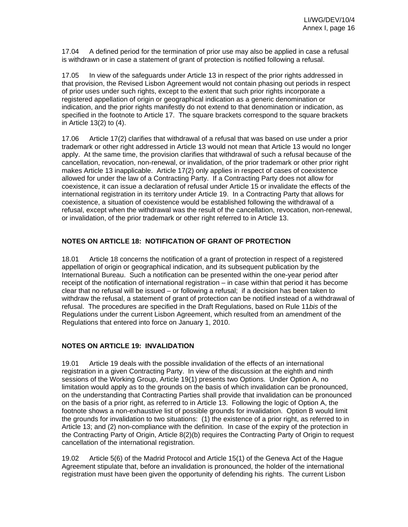17.04 A defined period for the termination of prior use may also be applied in case a refusal is withdrawn or in case a statement of grant of protection is notified following a refusal.

17.05 In view of the safeguards under Article 13 in respect of the prior rights addressed in that provision, the Revised Lisbon Agreement would not contain phasing out periods in respect of prior uses under such rights, except to the extent that such prior rights incorporate a registered appellation of origin or geographical indication as a generic denomination or indication, and the prior rights manifestly do not extend to that denomination or indication, as specified in the footnote to Article 17. The square brackets correspond to the square brackets in Article 13(2) to (4).

17.06 Article 17(2) clarifies that withdrawal of a refusal that was based on use under a prior trademark or other right addressed in Article 13 would not mean that Article 13 would no longer apply. At the same time, the provision clarifies that withdrawal of such a refusal because of the cancellation, revocation, non-renewal, or invalidation, of the prior trademark or other prior right makes Article 13 inapplicable. Article 17(2) only applies in respect of cases of coexistence allowed for under the law of a Contracting Party. If a Contracting Party does not allow for coexistence, it can issue a declaration of refusal under Article 15 or invalidate the effects of the international registration in its territory under Article 19. In a Contracting Party that allows for coexistence, a situation of coexistence would be established following the withdrawal of a refusal, except when the withdrawal was the result of the cancellation, revocation, non-renewal, or invalidation, of the prior trademark or other right referred to in Article 13.

### **NOTES ON ARTICLE 18: NOTIFICATION OF GRANT OF PROTECTION**

18.01 Article 18 concerns the notification of a grant of protection in respect of a registered appellation of origin or geographical indication, and its subsequent publication by the International Bureau. Such a notification can be presented within the one-year period after receipt of the notification of international registration – in case within that period it has become clear that no refusal will be issued – or following a refusal; if a decision has been taken to withdraw the refusal, a statement of grant of protection can be notified instead of a withdrawal of refusal. The procedures are specified in the Draft Regulations, based on Rule 11*bis* of the Regulations under the current Lisbon Agreement, which resulted from an amendment of the Regulations that entered into force on January 1, 2010.

### **NOTES ON ARTICLE 19: INVALIDATION**

19.01 Article 19 deals with the possible invalidation of the effects of an international registration in a given Contracting Party. In view of the discussion at the eighth and ninth sessions of the Working Group, Article 19(1) presents two Options. Under Option A, no limitation would apply as to the grounds on the basis of which invalidation can be pronounced, on the understanding that Contracting Parties shall provide that invalidation can be pronounced on the basis of a prior right, as referred to in Article 13. Following the logic of Option A, the footnote shows a non-exhaustive list of possible grounds for invalidation. Option B would limit the grounds for invalidation to two situations: (1) the existence of a prior right, as referred to in Article 13; and (2) non-compliance with the definition. In case of the expiry of the protection in the Contracting Party of Origin, Article 8(2)(b) requires the Contracting Party of Origin to request cancellation of the international registration.

19.02 Article 5(6) of the Madrid Protocol and Article 15(1) of the Geneva Act of the Hague Agreement stipulate that, before an invalidation is pronounced, the holder of the international registration must have been given the opportunity of defending his rights. The current Lisbon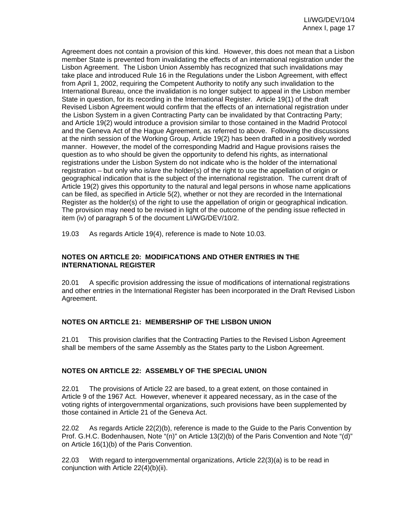Agreement does not contain a provision of this kind. However, this does not mean that a Lisbon member State is prevented from invalidating the effects of an international registration under the Lisbon Agreement. The Lisbon Union Assembly has recognized that such invalidations may take place and introduced Rule 16 in the Regulations under the Lisbon Agreement, with effect from April 1, 2002, requiring the Competent Authority to notify any such invalidation to the International Bureau, once the invalidation is no longer subject to appeal in the Lisbon member State in question, for its recording in the International Register. Article 19(1) of the draft Revised Lisbon Agreement would confirm that the effects of an international registration under the Lisbon System in a given Contracting Party can be invalidated by that Contracting Party; and Article 19(2) would introduce a provision similar to those contained in the Madrid Protocol and the Geneva Act of the Hague Agreement, as referred to above. Following the discussions at the ninth session of the Working Group, Article 19(2) has been drafted in a positively worded manner. However, the model of the corresponding Madrid and Hague provisions raises the question as to who should be given the opportunity to defend his rights, as international registrations under the Lisbon System do not indicate who is the holder of the international registration – but only who is/are the holder(s) of the right to use the appellation of origin or geographical indication that is the subject of the international registration. The current draft of Article 19(2) gives this opportunity to the natural and legal persons in whose name applications can be filed, as specified in Article 5(2), whether or not they are recorded in the International Register as the holder(s) of the right to use the appellation of origin or geographical indication. The provision may need to be revised in light of the outcome of the pending issue reflected in item (iv) of paragraph 5 of the document LI/WG/DEV/10/2.

19.03 As regards Article 19(4), reference is made to Note 10.03.

### **NOTES ON ARTICLE 20: MODIFICATIONS AND OTHER ENTRIES IN THE INTERNATIONAL REGISTER**

20.01 A specific provision addressing the issue of modifications of international registrations and other entries in the International Register has been incorporated in the Draft Revised Lisbon Agreement.

### **NOTES ON ARTICLE 21: MEMBERSHIP OF THE LISBON UNION**

21.01 This provision clarifies that the Contracting Parties to the Revised Lisbon Agreement shall be members of the same Assembly as the States party to the Lisbon Agreement.

### **NOTES ON ARTICLE 22: ASSEMBLY OF THE SPECIAL UNION**

22.01 The provisions of Article 22 are based, to a great extent, on those contained in Article 9 of the 1967 Act. However, whenever it appeared necessary, as in the case of the voting rights of intergovernmental organizations, such provisions have been supplemented by those contained in Article 21 of the Geneva Act.

22.02 As regards Article 22(2)(b), reference is made to the Guide to the Paris Convention by Prof. G.H.C. Bodenhausen, Note "(n)" on Article 13(2)(b) of the Paris Convention and Note "(d)" on Article 16(1)(b) of the Paris Convention.

22.03 With regard to intergovernmental organizations, Article 22(3)(a) is to be read in conjunction with Article 22(4)(b)(ii).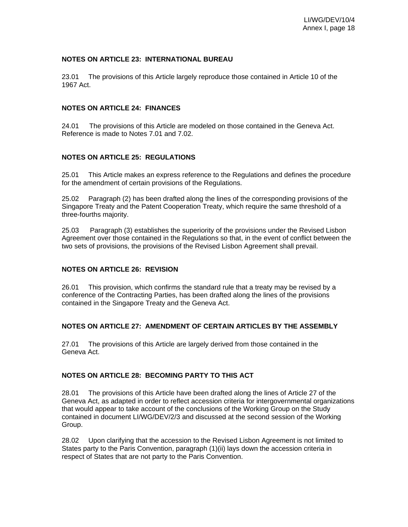#### **NOTES ON ARTICLE 23: INTERNATIONAL BUREAU**

23.01 The provisions of this Article largely reproduce those contained in Article 10 of the 1967 Act.

#### **NOTES ON ARTICLE 24: FINANCES**

24.01 The provisions of this Article are modeled on those contained in the Geneva Act. Reference is made to Notes 7.01 and 7.02.

#### **NOTES ON ARTICLE 25: REGULATIONS**

25.01 This Article makes an express reference to the Regulations and defines the procedure for the amendment of certain provisions of the Regulations.

25.02 Paragraph (2) has been drafted along the lines of the corresponding provisions of the Singapore Treaty and the Patent Cooperation Treaty, which require the same threshold of a three-fourths majority.

25.03 Paragraph (3) establishes the superiority of the provisions under the Revised Lisbon Agreement over those contained in the Regulations so that, in the event of conflict between the two sets of provisions, the provisions of the Revised Lisbon Agreement shall prevail.

### **NOTES ON ARTICLE 26: REVISION**

26.01 This provision, which confirms the standard rule that a treaty may be revised by a conference of the Contracting Parties, has been drafted along the lines of the provisions contained in the Singapore Treaty and the Geneva Act.

#### **NOTES ON ARTICLE 27: AMENDMENT OF CERTAIN ARTICLES BY THE ASSEMBLY**

27.01 The provisions of this Article are largely derived from those contained in the Geneva Act.

### **NOTES ON ARTICLE 28: BECOMING PARTY TO THIS ACT**

28.01 The provisions of this Article have been drafted along the lines of Article 27 of the Geneva Act, as adapted in order to reflect accession criteria for intergovernmental organizations that would appear to take account of the conclusions of the Working Group on the Study contained in document LI/WG/DEV/2/3 and discussed at the second session of the Working Group.

28.02 Upon clarifying that the accession to the Revised Lisbon Agreement is not limited to States party to the Paris Convention, paragraph (1)(ii) lays down the accession criteria in respect of States that are not party to the Paris Convention.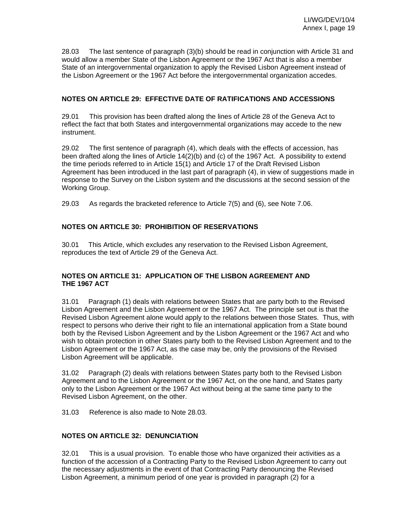28.03 The last sentence of paragraph (3)(b) should be read in conjunction with Article 31 and would allow a member State of the Lisbon Agreement or the 1967 Act that is also a member State of an intergovernmental organization to apply the Revised Lisbon Agreement instead of the Lisbon Agreement or the 1967 Act before the intergovernmental organization accedes.

### **NOTES ON ARTICLE 29: EFFECTIVE DATE OF RATIFICATIONS AND ACCESSIONS**

29.01 This provision has been drafted along the lines of Article 28 of the Geneva Act to reflect the fact that both States and intergovernmental organizations may accede to the new instrument.

29.02 The first sentence of paragraph (4), which deals with the effects of accession, has been drafted along the lines of Article 14(2)(b) and (c) of the 1967 Act. A possibility to extend the time periods referred to in Article 15(1) and Article 17 of the Draft Revised Lisbon Agreement has been introduced in the last part of paragraph (4), in view of suggestions made in response to the Survey on the Lisbon system and the discussions at the second session of the Working Group.

29.03 As regards the bracketed reference to Article 7(5) and (6), see Note 7.06.

# **NOTES ON ARTICLE 30: PROHIBITION OF RESERVATIONS**

30.01 This Article, which excludes any reservation to the Revised Lisbon Agreement, reproduces the text of Article 29 of the Geneva Act.

### **NOTES ON ARTICLE 31: APPLICATION OF THE LISBON AGREEMENT AND THE 1967 ACT**

31.01 Paragraph (1) deals with relations between States that are party both to the Revised Lisbon Agreement and the Lisbon Agreement or the 1967 Act. The principle set out is that the Revised Lisbon Agreement alone would apply to the relations between those States. Thus, with respect to persons who derive their right to file an international application from a State bound both by the Revised Lisbon Agreement and by the Lisbon Agreement or the 1967 Act and who wish to obtain protection in other States party both to the Revised Lisbon Agreement and to the Lisbon Agreement or the 1967 Act, as the case may be, only the provisions of the Revised Lisbon Agreement will be applicable.

31.02 Paragraph (2) deals with relations between States party both to the Revised Lisbon Agreement and to the Lisbon Agreement or the 1967 Act, on the one hand, and States party only to the Lisbon Agreement or the 1967 Act without being at the same time party to the Revised Lisbon Agreement, on the other.

31.03 Reference is also made to Note 28.03.

### **NOTES ON ARTICLE 32: DENUNCIATION**

32.01 This is a usual provision. To enable those who have organized their activities as a function of the accession of a Contracting Party to the Revised Lisbon Agreement to carry out the necessary adjustments in the event of that Contracting Party denouncing the Revised Lisbon Agreement, a minimum period of one year is provided in paragraph (2) for a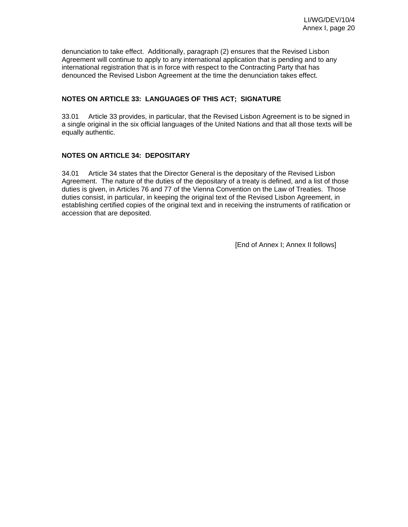denunciation to take effect. Additionally, paragraph (2) ensures that the Revised Lisbon Agreement will continue to apply to any international application that is pending and to any international registration that is in force with respect to the Contracting Party that has denounced the Revised Lisbon Agreement at the time the denunciation takes effect.

### **NOTES ON ARTICLE 33: LANGUAGES OF THIS ACT; SIGNATURE**

33.01 Article 33 provides, in particular, that the Revised Lisbon Agreement is to be signed in a single original in the six official languages of the United Nations and that all those texts will be equally authentic.

### **NOTES ON ARTICLE 34: DEPOSITARY**

34.01 Article 34 states that the Director General is the depositary of the Revised Lisbon Agreement. The nature of the duties of the depositary of a treaty is defined, and a list of those duties is given, in Articles 76 and 77 of the Vienna Convention on the Law of Treaties. Those duties consist, in particular, in keeping the original text of the Revised Lisbon Agreement, in establishing certified copies of the original text and in receiving the instruments of ratification or accession that are deposited.

[End of Annex I; Annex II follows]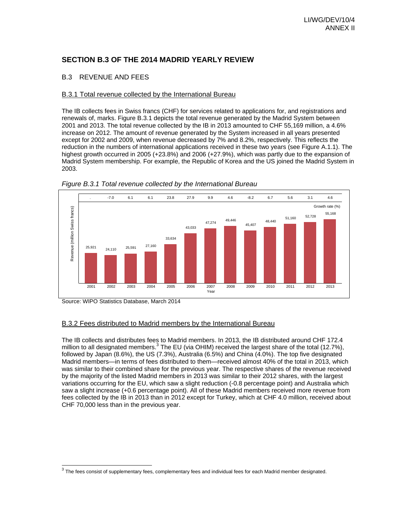# **SECTION B.3 OF THE 2014 MADRID YEARLY REVIEW**

### B.3 REVENUE AND FEES

#### B.3.1 Total revenue collected by the International Bureau

The IB collects fees in Swiss francs (CHF) for services related to applications for, and registrations and renewals of, marks. Figure B.3.1 depicts the total revenue generated by the Madrid System between 2001 and 2013. The total revenue collected by the IB in 2013 amounted to CHF 55,169 million, a 4.6% increase on 2012. The amount of revenue generated by the System increased in all years presented except for 2002 and 2009, when revenue decreased by 7% and 8.2%, respectively. This reflects the reduction in the numbers of international applications received in these two years (see Figure A.1.1). The highest growth occurred in 2005 (+23.8%) and 2006 (+27.9%), which was partly due to the expansion of Madrid System membership. For example, the Republic of Korea and the US joined the Madrid System in 2003.





l

### B.3.2 Fees distributed to Madrid members by the International Bureau

The IB collects and distributes fees to Madrid members. In 2013, the IB distributed around CHF 172.4 million to all designated members.<sup>3</sup> The EU (via OHIM) received the largest share of the total (12.7%), followed by Japan (8.6%), the US (7.3%), Australia (6.5%) and China (4.0%). The top five designated Madrid members—in terms of fees distributed to them—received almost 40% of the total in 2013, which was similar to their combined share for the previous year. The respective shares of the revenue received by the majority of the listed Madrid members in 2013 was similar to their 2012 shares, with the largest variations occurring for the EU, which saw a slight reduction (-0.8 percentage point) and Australia which saw a slight increase (+0.6 percentage point). All of these Madrid members received more revenue from fees collected by the IB in 2013 than in 2012 except for Turkey, which at CHF 4.0 million, received about CHF 70,000 less than in the previous year.

Source: WIPO Statistics Database, March 2014

 $^3$  The fees consist of supplementary fees, complementary fees and individual fees for each Madrid member designated.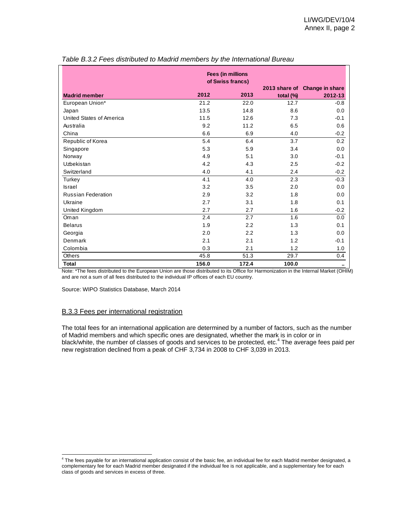|                           | Fees (in millions<br>of Swiss francs) |       |           |                               |  |  |  |
|---------------------------|---------------------------------------|-------|-----------|-------------------------------|--|--|--|
|                           |                                       |       |           | 2013 share of Change in share |  |  |  |
| <b>Madrid member</b>      | 2012                                  | 2013  | total (%) | 2012-13                       |  |  |  |
| European Union*           | 21.2                                  | 22.0  | 12.7      | $-0.8$                        |  |  |  |
| Japan                     | 13.5                                  | 14.8  | 8.6       | 0.0                           |  |  |  |
| United States of America  | 11.5                                  | 12.6  | 7.3       | $-0.1$                        |  |  |  |
| Australia                 | 9.2                                   | 11.2  | 6.5       | 0.6                           |  |  |  |
| China                     | 6.6                                   | 6.9   | 4.0       | $-0.2$                        |  |  |  |
| Republic of Korea         | 5.4                                   | 6.4   | 3.7       | 0.2                           |  |  |  |
| Singapore                 | 5.3                                   | 5.9   | 3.4       | 0.0                           |  |  |  |
| Norway                    | 4.9                                   | 5.1   | 3.0       | $-0.1$                        |  |  |  |
| Uzbekistan                | 4.2                                   | 4.3   | 2.5       | $-0.2$                        |  |  |  |
| Switzerland               | 4.0                                   | 4.1   | 2.4       | $-0.2$                        |  |  |  |
| Turkey                    | 4.1                                   | 4.0   | 2.3       | $-0.3$                        |  |  |  |
| <b>Israel</b>             | 3.2                                   | 3.5   | 2.0       | 0.0                           |  |  |  |
| <b>Russian Federation</b> | 2.9                                   | 3.2   | 1.8       | 0.0                           |  |  |  |
| Ukraine                   | 2.7                                   | 3.1   | 1.8       | 0.1                           |  |  |  |
| United Kingdom            | 2.7                                   | 2.7   | 1.6       | $-0.2$                        |  |  |  |
| Oman                      | 2.4                                   | 2.7   | 1.6       | 0.0                           |  |  |  |
| <b>Belarus</b>            | 1.9                                   | 2.2   | 1.3       | 0.1                           |  |  |  |
| Georgia                   | 2.0                                   | 2.2   | 1.3       | 0.0                           |  |  |  |
| Denmark                   | 2.1                                   | 2.1   | 1.2       | $-0.1$                        |  |  |  |
| Colombia                  | 0.3                                   | 2.1   | 1.2       | 1.0                           |  |  |  |
| <b>Others</b>             | 45.8                                  | 51.3  | 29.7      | 0.4                           |  |  |  |
| <b>Total</b>              | 156.0                                 | 172.4 | 100.0     |                               |  |  |  |

|  | Table B.3.2 Fees distributed to Madrid members by the International Bureau |
|--|----------------------------------------------------------------------------|
|  |                                                                            |

Note: \*The fees distributed to the European Union are those distributed to its Office for Harmonization in the Internal Market (OHIM) and are not a sum of all fees distributed to the individual IP offices of each EU country.

Source: WIPO Statistics Database, March 2014

#### B.3.3 Fees per international registration

The total fees for an international application are determined by a number of factors, such as the number of Madrid members and which specific ones are designated, whether the mark is in color or in black/white, the number of classes of goods and services to be protected, etc.<sup>4</sup> The average fees paid per new registration declined from a peak of CHF 3,734 in 2008 to CHF 3,039 in 2013.

 4 The fees payable for an international application consist of the basic fee, an individual fee for each Madrid member designated, a complementary fee for each Madrid member designated if the individual fee is not applicable, and a supplementary fee for each class of goods and services in excess of three.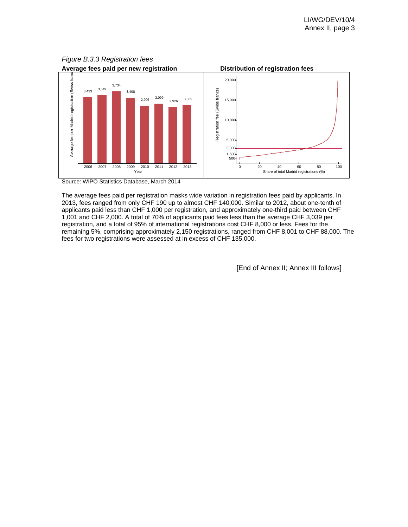

*Figure B.3.3 Registration fees* 

Source: WIPO Statistics Database, March 2014

The average fees paid per registration masks wide variation in registration fees paid by applicants. In 2013, fees ranged from only CHF 190 up to almost CHF 140,000. Similar to 2012, about one-tenth of applicants paid less than CHF 1,000 per registration, and approximately one-third paid between CHF 1,001 and CHF 2,000. A total of 70% of applicants paid fees less than the average CHF 3,039 per registration, and a total of 95% of international registrations cost CHF 8,000 or less. Fees for the remaining 5%, comprising approximately 2,150 registrations, ranged from CHF 8,001 to CHF 88,000. The fees for two registrations were assessed at in excess of CHF 135,000.

[End of Annex II; Annex III follows]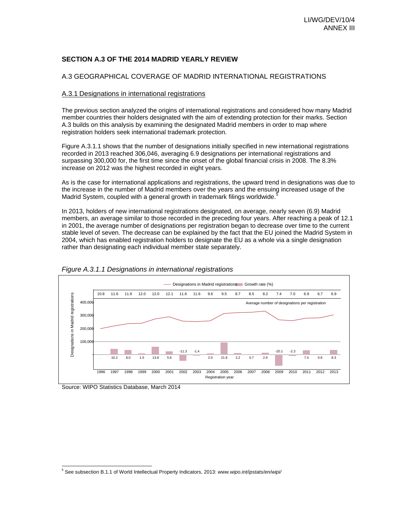#### **SECTION A.3 OF THE 2014 MADRID YEARLY REVIEW**

#### A.3 GEOGRAPHICAL COVERAGE OF MADRID INTERNATIONAL REGISTRATIONS

#### A.3.1 Designations in international registrations

The previous section analyzed the origins of international registrations and considered how many Madrid member countries their holders designated with the aim of extending protection for their marks. Section A.3 builds on this analysis by examining the designated Madrid members in order to map where registration holders seek international trademark protection.

Figure A.3.1.1 shows that the number of designations initially specified in new international registrations recorded in 2013 reached 306,046, averaging 6.9 designations per international registrations and surpassing 300,000 for, the first time since the onset of the global financial crisis in 2008. The 8.3% increase on 2012 was the highest recorded in eight years.

As is the case for international applications and registrations, the upward trend in designations was due to the increase in the number of Madrid members over the years and the ensuing increased usage of the Madrid System, coupled with a general growth in trademark filings worldwide.<sup>5</sup>

In 2013, holders of new international registrations designated, on average, nearly seven (6.9) Madrid members, an average similar to those recorded in the preceding four years. After reaching a peak of 12.1 in 2001, the average number of designations per registration began to decrease over time to the current stable level of seven. The decrease can be explained by the fact that the EU joined the Madrid System in 2004, which has enabled registration holders to designate the EU as a whole via a single designation rather than designating each individual member state separately.





Source: WIPO Statistics Database, March 2014

 5 See subsection B.1.1 of World Intellectual Property Indicators, 2013: *www.wipo.int/ipstats/en/wipi/*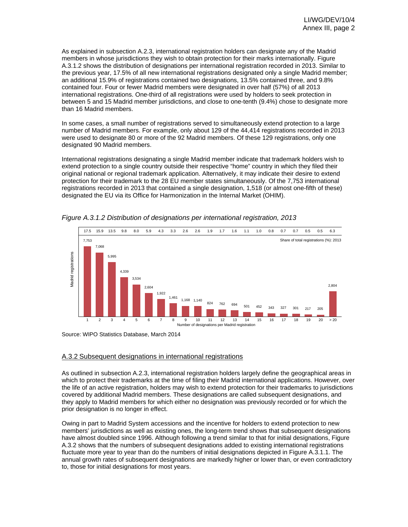As explained in subsection A.2.3, international registration holders can designate any of the Madrid members in whose jurisdictions they wish to obtain protection for their marks internationally. Figure A.3.1.2 shows the distribution of designations per international registration recorded in 2013. Similar to the previous year, 17.5% of all new international registrations designated only a single Madrid member; an additional 15.9% of registrations contained two designations, 13.5% contained three, and 9.8% contained four. Four or fewer Madrid members were designated in over half (57%) of all 2013 international registrations. One-third of all registrations were used by holders to seek protection in between 5 and 15 Madrid member jurisdictions, and close to one-tenth (9.4%) chose to designate more than 16 Madrid members.

In some cases, a small number of registrations served to simultaneously extend protection to a large number of Madrid members. For example, only about 129 of the 44,414 registrations recorded in 2013 were used to designate 80 or more of the 92 Madrid members. Of these 129 registrations, only one designated 90 Madrid members.

International registrations designating a single Madrid member indicate that trademark holders wish to extend protection to a single country outside their respective "home" country in which they filed their original national or regional trademark application. Alternatively, it may indicate their desire to extend protection for their trademark to the 28 EU member states simultaneously. Of the 7,753 international registrations recorded in 2013 that contained a single designation, 1,518 (or almost one-fifth of these) designated the EU via its Office for Harmonization in the Internal Market (OHIM).



*Figure A.3.1.2 Distribution of designations per international registration, 2013* 

Source: WIPO Statistics Database, March 2014

#### A.3.2 Subsequent designations in international registrations

As outlined in subsection A.2.3, international registration holders largely define the geographical areas in which to protect their trademarks at the time of filing their Madrid international applications. However, over the life of an active registration, holders may wish to extend protection for their trademarks to jurisdictions covered by additional Madrid members. These designations are called subsequent designations, and they apply to Madrid members for which either no designation was previously recorded or for which the prior designation is no longer in effect.

Owing in part to Madrid System accessions and the incentive for holders to extend protection to new members' jurisdictions as well as existing ones, the long-term trend shows that subsequent designations have almost doubled since 1996. Although following a trend similar to that for initial designations, Figure A.3.2 shows that the numbers of subsequent designations added to existing international registrations fluctuate more year to year than do the numbers of initial designations depicted in Figure A.3.1.1. The annual growth rates of subsequent designations are markedly higher or lower than, or even contradictory to, those for initial designations for most years.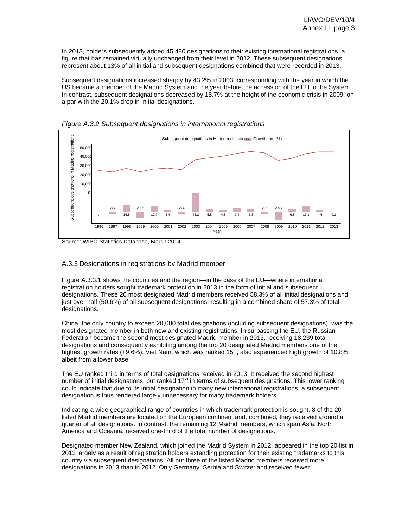In 2013, holders subsequently added 45,480 designations to their existing international registrations, a figure that has remained virtually unchanged from their level in 2012. These subsequent designations represent about 13% of all initial and subsequent designations combined that were recorded in 2013.

Subsequent designations increased sharply by 43.2% in 2003, corresponding with the year in which the US became a member of the Madrid System and the year before the accession of the EU to the System. In contrast, subsequent designations decreased by 18.7% at the height of the economic crisis in 2009, on a par with the 20.1% drop in initial designations.





Source: WIPO Statistics Database, March 2014

#### A.3.3 Designations in registrations by Madrid member

Figure A.3.3.1 shows the countries and the region—in the case of the EU—where international registration holders sought trademark protection in 2013 in the form of initial and subsequent designations. These 20 most designated Madrid members received 58.3% of all initial designations and just over half (50.6%) of all subsequent designations, resulting in a combined share of 57.3% of total designations.

China, the only country to exceed 20,000 total designations (including subsequent designations), was the most designated member in both new and existing registrations. In surpassing the EU, the Russian Federation became the second most designated Madrid member in 2013, receiving 18,239 total designations and consequently exhibiting among the top 20 designated Madrid members one of the highest growth rates (+9.6%). Viet Nam, which was ranked  $15<sup>th</sup>$ , also experienced high growth of 10.8%, albeit from a lower base.

The EU ranked third in terms of total designations received in 2013. It received the second highest number of initial designations, but ranked  $17<sup>th</sup>$  in terms of subsequent designations. This lower ranking could indicate that due to its initial designation in many new international registrations, a subsequent designation is thus rendered largely unnecessary for many trademark holders.

Indicating a wide geographical range of countries in which trademark protection is sought, 8 of the 20 listed Madrid members are located on the European continent and, combined, they received around a quarter of all designations. In contrast, the remaining 12 Madrid members, which span Asia, North America and Oceania, received one-third of the total number of designations.

Designated member New Zealand, which joined the Madrid System in 2012, appeared in the top 20 list in 2013 largely as a result of registration holders extending protection for their existing trademarks to this country via subsequent designations. All but three of the listed Madrid members received more designations in 2013 than in 2012. Only Germany, Serbia and Switzerland received fewer.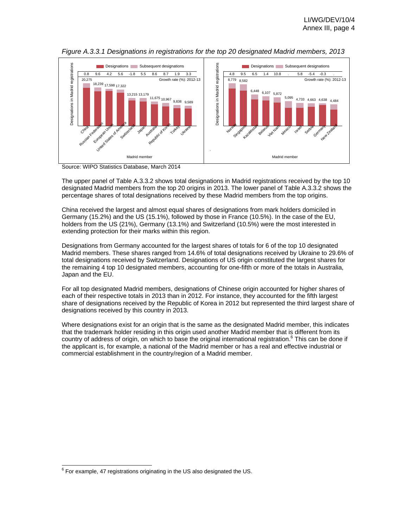



Source: WIPO Statistics Database, March 2014

The upper panel of Table A.3.3.2 shows total designations in Madrid registrations received by the top 10 designated Madrid members from the top 20 origins in 2013. The lower panel of Table A.3.3.2 shows the percentage shares of total designations received by these Madrid members from the top origins.

China received the largest and almost equal shares of designations from mark holders domiciled in Germany (15.2%) and the US (15.1%), followed by those in France (10.5%). In the case of the EU, holders from the US (21%), Germany (13.1%) and Switzerland (10.5%) were the most interested in extending protection for their marks within this region.

Designations from Germany accounted for the largest shares of totals for 6 of the top 10 designated Madrid members. These shares ranged from 14.6% of total designations received by Ukraine to 29.6% of total designations received by Switzerland. Designations of US origin constituted the largest shares for the remaining 4 top 10 designated members, accounting for one-fifth or more of the totals in Australia, Japan and the EU.

For all top designated Madrid members, designations of Chinese origin accounted for higher shares of each of their respective totals in 2013 than in 2012. For instance, they accounted for the fifth largest share of designations received by the Republic of Korea in 2012 but represented the third largest share of designations received by this country in 2013.

Where designations exist for an origin that is the same as the designated Madrid member, this indicates that the trademark holder residing in this origin used another Madrid member that is different from its country of address of origin, on which to base the original international registration.<sup>6</sup> This can be done if the applicant is, for example, a national of the Madrid member or has a real and effective industrial or commercial establishment in the country/region of a Madrid member.

l  $6$  For example, 47 registrations originating in the US also designated the US.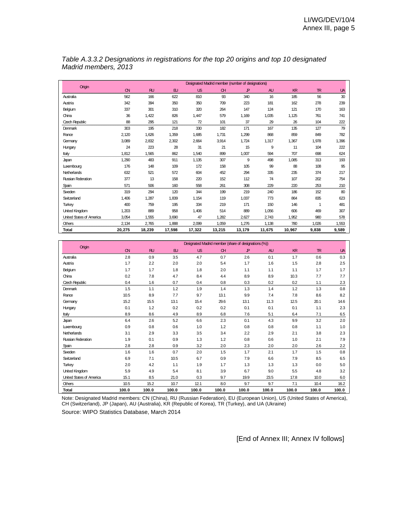| Origin                   |          |        |        |        |          | Designated Madrid member (number of designations) |           |        |       |           |
|--------------------------|----------|--------|--------|--------|----------|---------------------------------------------------|-----------|--------|-------|-----------|
|                          | $\alpha$ | RU     | EU     | US     | $\alpha$ | $\mathbf{P}$                                      | <b>AU</b> | KR     | TR    | <b>UA</b> |
| Australia                | 562      | 166    | 622    | 810    | 93       | 340                                               | 16        | 185    | 56    | 30        |
| Austria                  | 342      | 394    | 350    | 350    | 709      | 223                                               | 181       | 162    | 278   | 239       |
| Belgium                  | 337      | 301    | 310    | 320    | 264      | 147                                               | 124       | 121    | 170   | 163       |
| China                    | 36       | 1,422  | 826    | 1,447  | 579      | 1,169                                             | 1,035     | 1,125  | 761   | 741       |
| Czech Republic           | 88       | 295    | 121    | 72     | 101      | 37                                                | 29        | 26     | 104   | 222       |
| Denmark                  | 303      | 195    | 218    | 330    | 182      | 171                                               | 167       | 135    | 127   | 79        |
| France                   | 2,120    | 1,626  | 1,359  | 1,685  | 1,731    | 1,299                                             | 868       | 859    | 849   | 782       |
| Germany                  | 3,089    | 2,832  | 2,302  | 2,664  | 3,914    | 1,724                                             | 1,317     | 1,367  | 1,978 | 1,396     |
| Hungary                  | 24       | 223    | 28     | 31     | 21       | 15                                                | 9         | 11     | 104   | 222       |
| Italy                    | 1,812    | 1,565  | 862    | 1,540  | 899      | 1,007                                             | 594       | 707    | 698   | 624       |
| Japan                    | 1,290    | 483    | 911    | 1,135  | 307      | 9                                                 | 498       | 1,085  | 313   | 193       |
| Luxembourg               | 176      | 148    | 109    | 172    | 158      | 105                                               | 99        | 88     | 108   | 95        |
| <b>Netherlands</b>       | 632      | 521    | 572    | 604    | 452      | 294                                               | 335       | 235    | 374   | 217       |
| Russian Federation       | 377      | 13     | 158    | 220    | 152      | 112                                               | 74        | 107    | 202   | 754       |
| Spain                    | 571      | 506    | 160    | 558    | 261      | 308                                               | 229       | 220    | 253   | 210       |
| Sweden                   | 319      | 294    | 120    | 344    | 199      | 219                                               | 240       | 186    | 152   | 80        |
| Switzerland              | 1,406    | 1,287  | 1,839  | 1,154  | 119      | 1,037                                             | 773       | 864    | 835   | 623       |
| Turkey                   | 400      | 759    | 195    | 334    | 219      | 171                                               | 150       | 146    | 1     | 481       |
| United Kingdom           | 1,203    | 889    | 958    | 1,406  | 514      | 889                                               | 1,056     | 606    | 469   | 307       |
| United States of America | 3,054    | 1,555  | 3,690  | 47     | 1,282    | 2,627                                             | 2,743     | 1,952  | 980   | 578       |
| <b>Others</b>            | 2,134    | 2,765  | 1,888  | 2,099  | 1,059    | 1,276                                             | 1,138     | 780    | 1,026 | 1,553     |
| Total                    | 20,275   | 18,239 | 17,598 | 17,322 | 13,215   | 13,179                                            | 11,675    | 10,967 | 9,838 | 9,589     |

*Table A.3.3.2 Designations in registrations for the top 20 origins and top 10 designated Madrid members, 2013* 

|                          | Designated Madrid member (share of designations (%)) |       |       |       |       |              |           |       |       |           |
|--------------------------|------------------------------------------------------|-------|-------|-------|-------|--------------|-----------|-------|-------|-----------|
| Origin                   | $\alpha$                                             | RU    | E     | US    | CH    | $\mathbf{P}$ | <b>AU</b> | KR    | TR    | <b>UA</b> |
| Australia                | 2.8                                                  | 0.9   | 3.5   | 4.7   | 0.7   | 2.6          | 0.1       | 1.7   | 0.6   | 0.3       |
| Austria                  | 1.7                                                  | 2.2   | 2.0   | 2.0   | 5.4   | 1.7          | 1.6       | 1.5   | 2.8   | 2.5       |
| Belgium                  | 1.7                                                  | 1.7   | 1.8   | 1.8   | 2.0   | 1.1          | 1.1       | 1.1   | 1.7   | 1.7       |
| China                    | 0.2                                                  | 7.8   | 4.7   | 8.4   | 4.4   | 8.9          | 8.9       | 10.3  | 7.7   | 7.7       |
| Czech Republic           | 0.4                                                  | 1.6   | 0.7   | 0.4   | 0.8   | 0.3          | 0.2       | 0.2   | 1.1   | 2.3       |
| <b>Denmark</b>           | 1.5                                                  | 1.1   | 1.2   | 1.9   | 1.4   | 1.3          | 1.4       | 1.2   | 1.3   | 0.8       |
| France                   | 10.5                                                 | 8.9   | 7.7   | 9.7   | 13.1  | 9.9          | 7.4       | 7.8   | 8.6   | 8.2       |
| Germany                  | 15.2                                                 | 15.5  | 13.1  | 15.4  | 29.6  | 13.1         | 11.3      | 12.5  | 20.1  | 14.6      |
| Hungary                  | 0.1                                                  | 1.2   | 0.2   | 0.2   | 0.2   | 0.1          | 0.1       | 0.1   | 1.1   | 23        |
| Italy                    | 8.9                                                  | 8.6   | 4.9   | 8.9   | 6.8   | 7.6          | 5.1       | 6.4   | 7.1   | 6.5       |
| Japan                    | 6.4                                                  | 26    | 5.2   | 6.6   | 2.3   | 0.1          | 4.3       | 9.9   | 3.2   | 2.0       |
| Luxembourg               | 0.9                                                  | 0.8   | 0.6   | 1.0   | 1.2   | 0.8          | 0.8       | 0.8   | 1.1   | 1.0       |
| <b>Netherlands</b>       | 3.1                                                  | 2.9   | 3.3   | 3.5   | 3.4   | 2.2          | 2.9       | 2.1   | 3.8   | 23        |
| Russian Federation       | 1.9                                                  | 0.1   | 0.9   | 1.3   | 1.2   | 0.8          | 0.6       | 1.0   | 2.1   | 7.9       |
| Spain                    | 2.8                                                  | 2.8   | 0.9   | 3.2   | 2.0   | 2.3          | 2.0       | 2.0   | 2.6   | 2.2       |
| Sweden                   | 1.6                                                  | 1.6   | 0.7   | 2.0   | 1.5   | 1.7          | 2.1       | 1.7   | 1.5   | 0.8       |
| Switzerland              | 6.9                                                  | 7.1   | 10.5  | 6.7   | 0.9   | 7.9          | 6.6       | 7.9   | 8.5   | 6.5       |
| Turkey                   | 2.0                                                  | 4.2   | 1.1   | 1.9   | 1.7   | 1.3          | 1.3       | 1.3   | 0.0   | 5.0       |
| United Kingdom           | 5.9                                                  | 4.9   | 5.4   | 8.1   | 3.9   | 6.7          | 9.0       | 5.5   | 4.8   | 3.2       |
| United States of America | 15.1                                                 | 8.5   | 21.0  | 0.3   | 9.7   | 19.9         | 23.5      | 17.8  | 10.0  | 6.0       |
| Others                   | 10.5                                                 | 15.2  | 10.7  | 12.1  | 8.0   | 9.7          | 9.7       | 7.1   | 10.4  | 16.2      |
| <b>Total</b>             | 100.0                                                | 100.0 | 100.0 | 100.0 | 100.0 | 100.0        | 100.0     | 100.0 | 100.0 | 100.0     |

Note: Designated Madrid members: CN (China), RU (Russian Federation), EU (European Union), US (United States of America), CH (Switzerland), JP (Japan), AU (Australia), KR (Republic of Korea), TR (Turkey), and UA (Ukraine)

Source: WIPO Statistics Database, March 2014

[End of Annex III; Annex IV follows]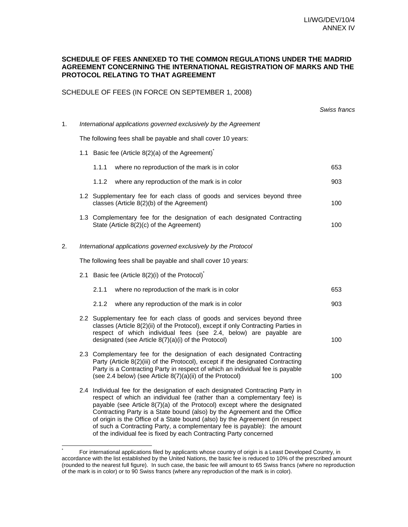#### **SCHEDULE OF FEES ANNEXED TO THE COMMON REGULATIONS UNDER THE MADRID AGREEMENT CONCERNING THE INTERNATIONAL REGISTRATION OF MARKS AND THE PROTOCOL RELATING TO THAT AGREEMENT**

SCHEDULE OF FEES (IN FORCE ON SEPTEMBER 1, 2008)

|    |                                                                                                                                                                                                                                                                                                                                                                                                                                                                                                                                                       | Swiss francs |
|----|-------------------------------------------------------------------------------------------------------------------------------------------------------------------------------------------------------------------------------------------------------------------------------------------------------------------------------------------------------------------------------------------------------------------------------------------------------------------------------------------------------------------------------------------------------|--------------|
| 1. | International applications governed exclusively by the Agreement                                                                                                                                                                                                                                                                                                                                                                                                                                                                                      |              |
|    | The following fees shall be payable and shall cover 10 years:                                                                                                                                                                                                                                                                                                                                                                                                                                                                                         |              |
|    | 1.1 Basic fee (Article $8(2)(a)$ of the Agreement) <sup>*</sup>                                                                                                                                                                                                                                                                                                                                                                                                                                                                                       |              |
|    | 1.1.1<br>where no reproduction of the mark is in color                                                                                                                                                                                                                                                                                                                                                                                                                                                                                                | 653          |
|    | 1.1.2<br>where any reproduction of the mark is in color                                                                                                                                                                                                                                                                                                                                                                                                                                                                                               | 903          |
|    | 1.2 Supplementary fee for each class of goods and services beyond three<br>classes (Article 8(2)(b) of the Agreement)                                                                                                                                                                                                                                                                                                                                                                                                                                 | 100          |
|    | 1.3 Complementary fee for the designation of each designated Contracting<br>State (Article 8(2)(c) of the Agreement)                                                                                                                                                                                                                                                                                                                                                                                                                                  | 100          |
| 2. | International applications governed exclusively by the Protocol                                                                                                                                                                                                                                                                                                                                                                                                                                                                                       |              |
|    | The following fees shall be payable and shall cover 10 years:                                                                                                                                                                                                                                                                                                                                                                                                                                                                                         |              |
|    | 2.1 Basic fee (Article 8(2)(i) of the Protocol)                                                                                                                                                                                                                                                                                                                                                                                                                                                                                                       |              |
|    | 2.1.1<br>where no reproduction of the mark is in color                                                                                                                                                                                                                                                                                                                                                                                                                                                                                                | 653          |
|    | 2.1.2<br>where any reproduction of the mark is in color                                                                                                                                                                                                                                                                                                                                                                                                                                                                                               | 903          |
|    | 2.2 Supplementary fee for each class of goods and services beyond three<br>classes (Article 8(2)(ii) of the Protocol), except if only Contracting Parties in<br>respect of which individual fees (see 2.4, below) are payable are<br>designated (see Article 8(7)(a)(i) of the Protocol)                                                                                                                                                                                                                                                              | 100          |
|    | 2.3 Complementary fee for the designation of each designated Contracting<br>Party (Article 8(2)(iii) of the Protocol), except if the designated Contracting<br>Party is a Contracting Party in respect of which an individual fee is payable<br>(see 2.4 below) (see Article 8(7)(a)(ii) of the Protocol)                                                                                                                                                                                                                                             | 100          |
|    | 2.4 Individual fee for the designation of each designated Contracting Party in<br>respect of which an individual fee (rather than a complementary fee) is<br>payable (see Article 8(7)(a) of the Protocol) except where the designated<br>Contracting Party is a State bound (also) by the Agreement and the Office<br>of origin is the Office of a State bound (also) by the Agreement (in respect<br>of such a Contracting Party, a complementary fee is payable): the amount<br>of the individual fee is fixed by each Contracting Party concerned |              |

 \* For international applications filed by applicants whose country of origin is a Least Developed Country, in accordance with the list established by the United Nations, the basic fee is reduced to 10% of the prescribed amount (rounded to the nearest full figure). In such case, the basic fee will amount to 65 Swiss francs (where no reproduction of the mark is in color) or to 90 Swiss francs (where any reproduction of the mark is in color).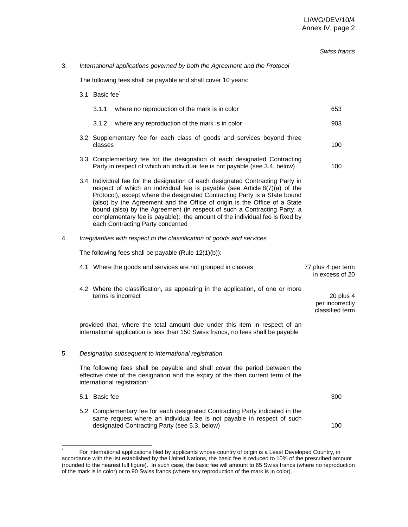|    |                                                               |                                                                                    |                                                                                                                                                                                                                                                                                                                                                                                                                                                                                                                      | Swiss francs                                    |  |  |  |  |  |  |
|----|---------------------------------------------------------------|------------------------------------------------------------------------------------|----------------------------------------------------------------------------------------------------------------------------------------------------------------------------------------------------------------------------------------------------------------------------------------------------------------------------------------------------------------------------------------------------------------------------------------------------------------------------------------------------------------------|-------------------------------------------------|--|--|--|--|--|--|
| 3. |                                                               |                                                                                    | International applications governed by both the Agreement and the Protocol                                                                                                                                                                                                                                                                                                                                                                                                                                           |                                                 |  |  |  |  |  |  |
|    | The following fees shall be payable and shall cover 10 years: |                                                                                    |                                                                                                                                                                                                                                                                                                                                                                                                                                                                                                                      |                                                 |  |  |  |  |  |  |
|    | 3.1 Basic fee <sup>®</sup>                                    |                                                                                    |                                                                                                                                                                                                                                                                                                                                                                                                                                                                                                                      |                                                 |  |  |  |  |  |  |
|    |                                                               | 3.1.1                                                                              | where no reproduction of the mark is in color                                                                                                                                                                                                                                                                                                                                                                                                                                                                        | 653                                             |  |  |  |  |  |  |
|    |                                                               | 3.1.2                                                                              | where any reproduction of the mark is in color                                                                                                                                                                                                                                                                                                                                                                                                                                                                       | 903                                             |  |  |  |  |  |  |
|    |                                                               | 3.2 Supplementary fee for each class of goods and services beyond three<br>classes | 100                                                                                                                                                                                                                                                                                                                                                                                                                                                                                                                  |                                                 |  |  |  |  |  |  |
|    |                                                               |                                                                                    | 3.3 Complementary fee for the designation of each designated Contracting<br>Party in respect of which an individual fee is not payable (see 3.4, below)                                                                                                                                                                                                                                                                                                                                                              | 100                                             |  |  |  |  |  |  |
|    |                                                               |                                                                                    | 3.4 Individual fee for the designation of each designated Contracting Party in<br>respect of which an individual fee is payable (see Article 8(7)(a) of the<br>Protocol), except where the designated Contracting Party is a State bound<br>(also) by the Agreement and the Office of origin is the Office of a State<br>bound (also) by the Agreement (in respect of such a Contracting Party, a<br>complementary fee is payable): the amount of the individual fee is fixed by<br>each Contracting Party concerned |                                                 |  |  |  |  |  |  |
| 4. |                                                               |                                                                                    | Irregularities with respect to the classification of goods and services                                                                                                                                                                                                                                                                                                                                                                                                                                              |                                                 |  |  |  |  |  |  |
|    |                                                               |                                                                                    | The following fees shall be payable (Rule $12(1)(b)$ ):                                                                                                                                                                                                                                                                                                                                                                                                                                                              |                                                 |  |  |  |  |  |  |
|    |                                                               |                                                                                    | 4.1 Where the goods and services are not grouped in classes                                                                                                                                                                                                                                                                                                                                                                                                                                                          | 77 plus 4 per term<br>in excess of 20           |  |  |  |  |  |  |
|    |                                                               |                                                                                    | 4.2 Where the classification, as appearing in the application, of one or more<br>terms is incorrect                                                                                                                                                                                                                                                                                                                                                                                                                  | 20 plus 4<br>per incorrectly<br>classified term |  |  |  |  |  |  |
|    |                                                               |                                                                                    | provided that, where the total amount due under this item in respect of an<br>international application is less than 150 Swiss francs, no fees shall be payable                                                                                                                                                                                                                                                                                                                                                      |                                                 |  |  |  |  |  |  |
| 5. |                                                               |                                                                                    | Designation subsequent to international registration                                                                                                                                                                                                                                                                                                                                                                                                                                                                 |                                                 |  |  |  |  |  |  |
|    |                                                               |                                                                                    | The following fees shall be payable and shall cover the period between the<br>effective date of the designation and the expiry of the then current term of the<br>international registration:                                                                                                                                                                                                                                                                                                                        |                                                 |  |  |  |  |  |  |
|    |                                                               | 5.1 Basic fee                                                                      |                                                                                                                                                                                                                                                                                                                                                                                                                                                                                                                      | 300                                             |  |  |  |  |  |  |
|    |                                                               |                                                                                    | 5.2 Complementary fee for each designated Contracting Party indicated in the<br>same request where an individual fee is not payable in respect of such<br>designated Contracting Party (see 5.3, below)                                                                                                                                                                                                                                                                                                              | 100                                             |  |  |  |  |  |  |

 \* For international applications filed by applicants whose country of origin is a Least Developed Country, in accordance with the list established by the United Nations, the basic fee is reduced to 10% of the prescribed amount (rounded to the nearest full figure). In such case, the basic fee will amount to 65 Swiss francs (where no reproduction of the mark is in color) or to 90 Swiss francs (where any reproduction of the mark is in color).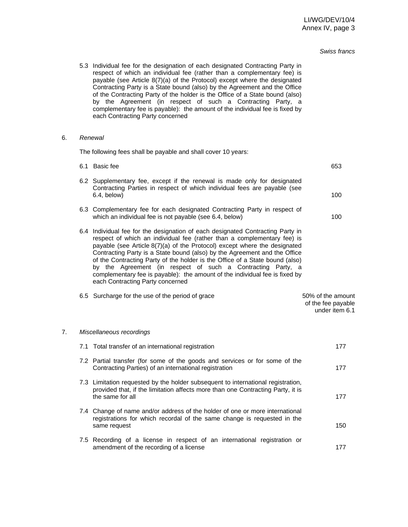#### *Swiss francs*

 5.3 Individual fee for the designation of each designated Contracting Party in respect of which an individual fee (rather than a complementary fee) is payable (see Article 8(7)(a) of the Protocol) except where the designated Contracting Party is a State bound (also) by the Agreement and the Office of the Contracting Party of the holder is the Office of a State bound (also) by the Agreement (in respect of such a Contracting Party, a complementary fee is payable): the amount of the individual fee is fixed by each Contracting Party concerned

#### 6. *Renewal*

The following fees shall be payable and shall cover 10 years:

|    | 6.1 Basic fee                                                                                                                                                                                                                                                                                                                                                                                                                                                                                                                                                                         | 653                                                       |
|----|---------------------------------------------------------------------------------------------------------------------------------------------------------------------------------------------------------------------------------------------------------------------------------------------------------------------------------------------------------------------------------------------------------------------------------------------------------------------------------------------------------------------------------------------------------------------------------------|-----------------------------------------------------------|
|    | 6.2 Supplementary fee, except if the renewal is made only for designated<br>Contracting Parties in respect of which individual fees are payable (see<br>6.4, below)                                                                                                                                                                                                                                                                                                                                                                                                                   | 100                                                       |
|    | 6.3 Complementary fee for each designated Contracting Party in respect of<br>which an individual fee is not payable (see 6.4, below)                                                                                                                                                                                                                                                                                                                                                                                                                                                  | 100                                                       |
|    | 6.4 Individual fee for the designation of each designated Contracting Party in<br>respect of which an individual fee (rather than a complementary fee) is<br>payable (see Article 8(7)(a) of the Protocol) except where the designated<br>Contracting Party is a State bound (also) by the Agreement and the Office<br>of the Contracting Party of the holder is the Office of a State bound (also)<br>by the Agreement (in respect of such a Contracting Party, a<br>complementary fee is payable): the amount of the individual fee is fixed by<br>each Contracting Party concerned |                                                           |
|    | 6.5 Surcharge for the use of the period of grace                                                                                                                                                                                                                                                                                                                                                                                                                                                                                                                                      | 50% of the amount<br>of the fee payable<br>under item 6.1 |
| 7. | Miscellaneous recordings                                                                                                                                                                                                                                                                                                                                                                                                                                                                                                                                                              |                                                           |
|    | 7.1 Total transfer of an international registration                                                                                                                                                                                                                                                                                                                                                                                                                                                                                                                                   | 177                                                       |
|    | 7.2 Partial transfer (for some of the goods and services or for some of the<br>Contracting Parties) of an international registration                                                                                                                                                                                                                                                                                                                                                                                                                                                  | 177                                                       |
|    | 7.3 Limitation requested by the holder subsequent to international registration,<br>provided that, if the limitation affects more than one Contracting Party, it is<br>the same for all                                                                                                                                                                                                                                                                                                                                                                                               | 177                                                       |
|    | 7.4 Change of name and/or address of the holder of one or more international<br>registrations for which recordal of the same change is requested in the<br>same request                                                                                                                                                                                                                                                                                                                                                                                                               | 150                                                       |
|    | 7.5 Recording of a license in respect of an international registration or<br>amendment of the recording of a license                                                                                                                                                                                                                                                                                                                                                                                                                                                                  | 177                                                       |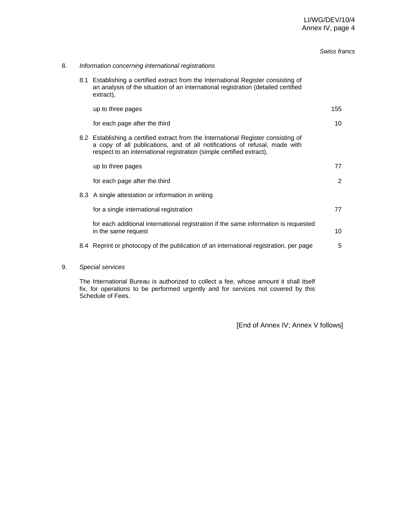#### *Swiss francs*

#### 8. *Information concerning international registrations*

 8.1 Establishing a certified extract from the International Register consisting of an analysis of the situation of an international registration (detailed certified extract),

|  | up to three pages                                                                                                                                                                                                                        | 155 |
|--|------------------------------------------------------------------------------------------------------------------------------------------------------------------------------------------------------------------------------------------|-----|
|  | for each page after the third                                                                                                                                                                                                            | 10  |
|  | 8.2 Establishing a certified extract from the International Register consisting of<br>a copy of all publications, and of all notifications of refusal, made with<br>respect to an international registration (simple certified extract), |     |
|  | up to three pages                                                                                                                                                                                                                        |     |

for each page after the third 2 8.3 A single attestation or information in writing for a single international registration **77** 

 for each additional international registration if the same information is requested in the same request 10

- 8.4 Reprint or photocopy of the publication of an international registration, per page 5
- 9. *Special services*

The International Bureau is authorized to collect a fee, whose amount it shall itself fix, for operations to be performed urgently and for services not covered by this Schedule of Fees.

[End of Annex IV; Annex V follows]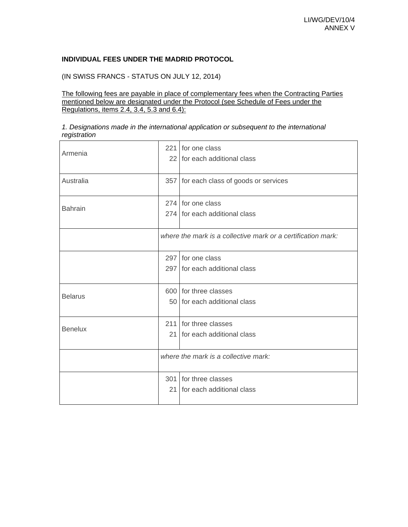### **INDIVIDUAL FEES UNDER THE MADRID PROTOCOL**

(IN SWISS FRANCS - STATUS ON JULY 12, 2014)

The following fees are payable in place of complementary fees when the Contracting Parties mentioned below are designated under the Protocol (see Schedule of Fees under the Regulations, items 2.4, 3.4, 5.3 and 6.4):

#### *1. Designations made in the international application or subsequent to the international registration*

| Armenia        |                 | 221 for one class<br>22 for each additional class            |
|----------------|-----------------|--------------------------------------------------------------|
| Australia      |                 | 357 for each class of goods or services                      |
| <b>Bahrain</b> |                 | 274 for one class<br>274 for each additional class           |
|                |                 | where the mark is a collective mark or a certification mark: |
|                |                 | 297 for one class<br>297 for each additional class           |
| <b>Belarus</b> |                 | 600 for three classes<br>50 for each additional class        |
| <b>Benelux</b> |                 | 211 for three classes<br>21 for each additional class        |
|                |                 | where the mark is a collective mark:                         |
|                | 21 <sup>1</sup> | 301 for three classes<br>for each additional class           |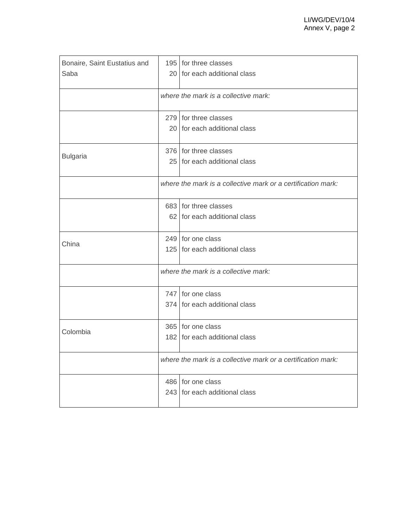| Bonaire, Saint Eustatius and | 195 for three classes                                        |
|------------------------------|--------------------------------------------------------------|
| Saba                         | 20 for each additional class                                 |
|                              | where the mark is a collective mark:                         |
|                              | 279 for three classes                                        |
|                              | 20 for each additional class                                 |
| <b>Bulgaria</b>              | 376 for three classes                                        |
|                              | 25 for each additional class                                 |
|                              | where the mark is a collective mark or a certification mark: |
|                              | 683 for three classes                                        |
|                              | 62 for each additional class                                 |
| China                        | 249 for one class                                            |
|                              | 125 for each additional class                                |
|                              | where the mark is a collective mark:                         |
|                              | 747 for one class                                            |
|                              | 374 for each additional class                                |
| Colombia                     | 365 for one class                                            |
|                              | 182 for each additional class                                |
|                              | where the mark is a collective mark or a certification mark: |
|                              | 486 for one class                                            |
|                              | 243 for each additional class                                |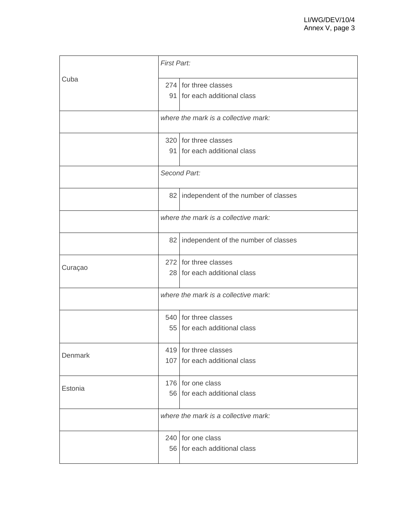|         |              | <b>First Part:</b>                                     |  |  |
|---------|--------------|--------------------------------------------------------|--|--|
| Cuba    |              | 274 for three classes<br>91 for each additional class  |  |  |
|         |              | where the mark is a collective mark:                   |  |  |
|         |              | 320 for three classes<br>91 for each additional class  |  |  |
|         | Second Part: |                                                        |  |  |
|         |              | 82   independent of the number of classes              |  |  |
|         |              | where the mark is a collective mark:                   |  |  |
|         |              | 82   independent of the number of classes              |  |  |
| Curaçao |              | 272 for three classes<br>28 for each additional class  |  |  |
|         |              | where the mark is a collective mark:                   |  |  |
|         |              | 540 for three classes<br>55 for each additional class  |  |  |
| Denmark |              | 419 for three classes<br>107 for each additional class |  |  |
| Estonia |              | 176 for one class<br>56 for each additional class      |  |  |
|         |              | where the mark is a collective mark:                   |  |  |
|         |              | 240 for one class<br>56 for each additional class      |  |  |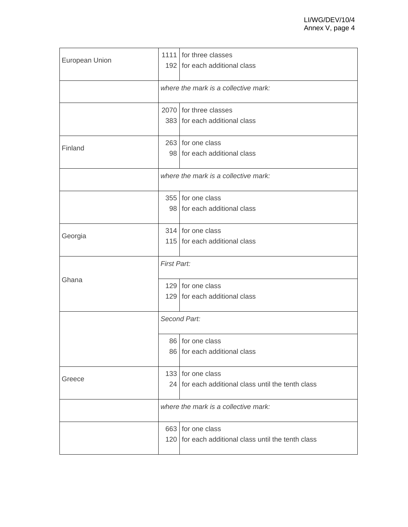| European Union |                    | 1111 for three classes<br>192 for each additional class                  |  |
|----------------|--------------------|--------------------------------------------------------------------------|--|
|                |                    | where the mark is a collective mark:                                     |  |
|                |                    | 2070 for three classes<br>383 for each additional class                  |  |
| Finland        |                    | 263 for one class<br>98 for each additional class                        |  |
|                |                    | where the mark is a collective mark:                                     |  |
|                |                    | 355 for one class<br>98 for each additional class                        |  |
| Georgia        |                    | 314 for one class<br>115 for each additional class                       |  |
|                | <b>First Part:</b> |                                                                          |  |
| Ghana          |                    | 129 for one class<br>129 for each additional class                       |  |
|                | Second Part:       |                                                                          |  |
|                |                    | 86 for one class<br>86 for each additional class                         |  |
| Greece         |                    | 133 for one class<br>24 for each additional class until the tenth class  |  |
|                |                    | where the mark is a collective mark:                                     |  |
|                |                    | 663 for one class<br>120 for each additional class until the tenth class |  |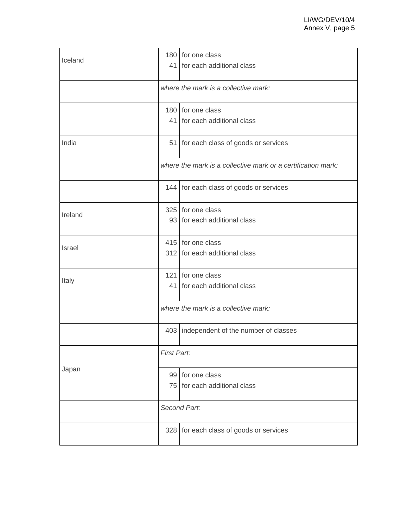| Iceland       |                    | 180 for one class<br>41 for each additional class            |  |
|---------------|--------------------|--------------------------------------------------------------|--|
|               |                    | where the mark is a collective mark:                         |  |
|               |                    | 180 for one class<br>41 for each additional class            |  |
| India         |                    | 51 for each class of goods or services                       |  |
|               |                    | where the mark is a collective mark or a certification mark: |  |
|               |                    | 144 for each class of goods or services                      |  |
| Ireland       |                    | 325 for one class<br>93 for each additional class            |  |
| <b>Israel</b> |                    | 415 for one class<br>312 for each additional class           |  |
| Italy         |                    | 121 for one class<br>41 for each additional class            |  |
|               |                    | where the mark is a collective mark:                         |  |
|               |                    | 403   independent of the number of classes                   |  |
|               | <b>First Part:</b> |                                                              |  |
| Japan         |                    | 99 for one class<br>75 for each additional class             |  |
|               |                    | Second Part:                                                 |  |
|               |                    | 328 for each class of goods or services                      |  |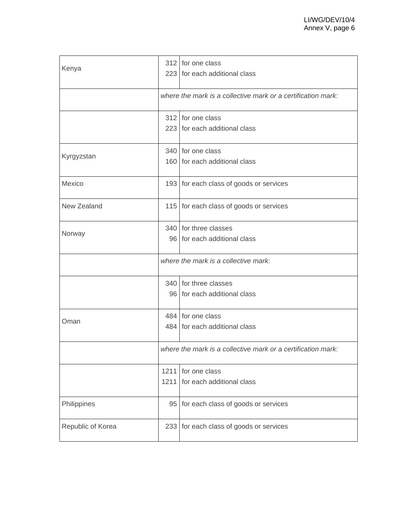| Kenya             |              | 312 for one class<br>223 for each additional class           |
|-------------------|--------------|--------------------------------------------------------------|
|                   |              | where the mark is a collective mark or a certification mark: |
|                   |              | 312 for one class<br>223 for each additional class           |
| Kyrgyzstan        |              | 340 for one class<br>160 for each additional class           |
| Mexico            |              | 193 for each class of goods or services                      |
| New Zealand       |              | 115 for each class of goods or services                      |
| Norway            |              | 340 for three classes<br>96 for each additional class        |
|                   |              | where the mark is a collective mark:                         |
|                   |              | 340 for three classes<br>96 for each additional class        |
| Oman              |              | 484 for one class<br>484 for each additional class           |
|                   |              | where the mark is a collective mark or a certification mark: |
|                   | 1211<br>1211 | for one class<br>for each additional class                   |
| Philippines       | 95           | for each class of goods or services                          |
| Republic of Korea | 233          | for each class of goods or services                          |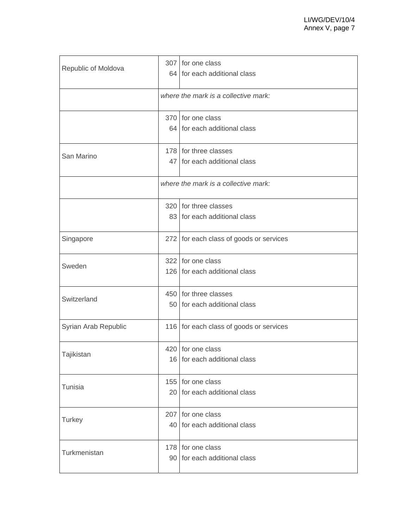| Republic of Moldova  |     | 307 for one class<br>64 for each additional class     |
|----------------------|-----|-------------------------------------------------------|
|                      |     | where the mark is a collective mark:                  |
|                      |     | 370 for one class<br>64 for each additional class     |
| San Marino           |     | 178 for three classes<br>47 for each additional class |
|                      |     | where the mark is a collective mark:                  |
|                      |     | 320 for three classes<br>83 for each additional class |
| Singapore            |     | 272 for each class of goods or services               |
| Sweden               |     | 322 for one class<br>126 for each additional class    |
| Switzerland          |     | 450 for three classes<br>50 for each additional class |
| Syrian Arab Republic |     | 116 for each class of goods or services               |
| Tajikistan           |     | 420 for one class<br>16 for each additional class     |
| <b>Tunisia</b>       |     | 155 for one class<br>20 for each additional class     |
| <b>Turkey</b>        | 207 | for one class<br>40 for each additional class         |
| Turkmenistan         |     | 178 for one class<br>90 for each additional class     |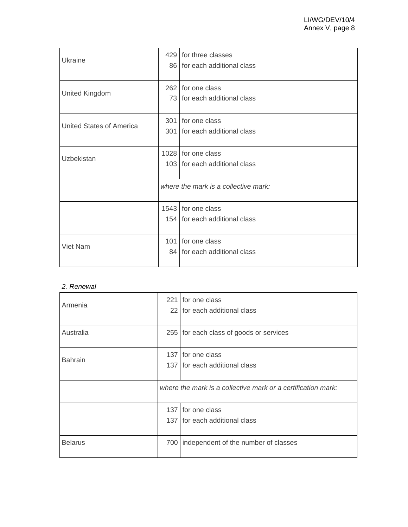| Ukraine                         |     | 429 for three classes<br>86 for each additional class |
|---------------------------------|-----|-------------------------------------------------------|
| United Kingdom                  | 262 | for one class<br>73 for each additional class         |
| <b>United States of America</b> |     | 301 for one class<br>301 for each additional class    |
| Uzbekistan                      |     | 1028 for one class<br>103 for each additional class   |
|                                 |     | where the mark is a collective mark:                  |
|                                 |     | 1543 for one class<br>154 for each additional class   |
| <b>Viet Nam</b>                 |     | 101 for one class<br>84   for each additional class   |

# *2. Renewal*

| Armenia        |     | 221 for one class<br>22 for each additional class            |
|----------------|-----|--------------------------------------------------------------|
| Australia      |     | 255 for each class of goods or services                      |
| <b>Bahrain</b> |     | 137 for one class<br>137 for each additional class           |
|                |     | where the mark is a collective mark or a certification mark: |
|                |     | 137 for one class<br>137 for each additional class           |
| <b>Belarus</b> | 700 | independent of the number of classes                         |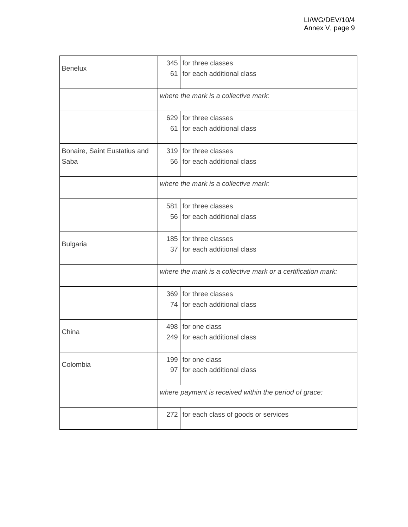| <b>Benelux</b>               |     | 345 for three classes                                        |
|------------------------------|-----|--------------------------------------------------------------|
|                              |     | 61 for each additional class                                 |
|                              |     |                                                              |
|                              |     | where the mark is a collective mark:                         |
|                              |     |                                                              |
|                              |     | 629 for three classes                                        |
|                              |     | 61 for each additional class                                 |
|                              |     |                                                              |
| Bonaire, Saint Eustatius and |     | 319 for three classes                                        |
| Saba                         |     | 56 for each additional class                                 |
|                              |     |                                                              |
|                              |     | where the mark is a collective mark:                         |
|                              |     |                                                              |
|                              |     | 581 for three classes                                        |
|                              |     | 56 for each additional class                                 |
|                              |     | 185 for three classes                                        |
| <b>Bulgaria</b>              |     | 37 for each additional class                                 |
|                              |     |                                                              |
|                              |     | where the mark is a collective mark or a certification mark: |
|                              |     |                                                              |
|                              |     | 369 for three classes                                        |
|                              |     | 74 for each additional class                                 |
|                              |     | 498 for one class                                            |
| China                        |     | 249 for each additional class                                |
|                              |     |                                                              |
|                              |     | 199 for one class                                            |
| Colombia                     |     | 97 for each additional class                                 |
|                              |     |                                                              |
|                              |     | where payment is received within the period of grace:        |
|                              | 272 | for each class of goods or services                          |
|                              |     |                                                              |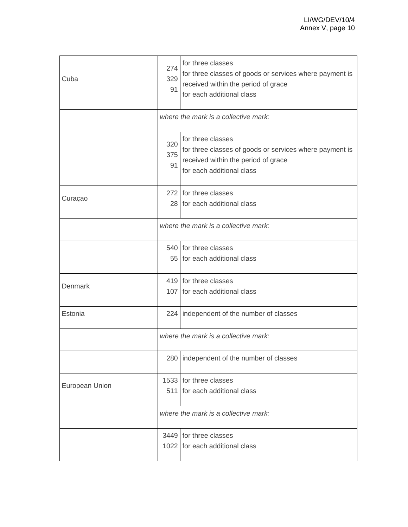| Cuba           | 274<br>329<br>91 | for three classes<br>for three classes of goods or services where payment is<br>received within the period of grace<br>for each additional class |
|----------------|------------------|--------------------------------------------------------------------------------------------------------------------------------------------------|
|                |                  | where the mark is a collective mark:                                                                                                             |
|                | 320<br>375<br>91 | for three classes<br>for three classes of goods or services where payment is<br>received within the period of grace<br>for each additional class |
| Curaçao        |                  | 272 for three classes<br>28 for each additional class                                                                                            |
|                |                  | where the mark is a collective mark:                                                                                                             |
|                |                  | 540 for three classes<br>55 for each additional class                                                                                            |
| Denmark        |                  | 419 for three classes<br>107 for each additional class                                                                                           |
| Estonia        |                  | 224   independent of the number of classes                                                                                                       |
|                |                  | where the mark is a collective mark:                                                                                                             |
|                |                  | 280   independent of the number of classes                                                                                                       |
| European Union | 511              | 1533 for three classes<br>for each additional class                                                                                              |
|                |                  | where the mark is a collective mark:                                                                                                             |
|                |                  | 3449 for three classes<br>1022 for each additional class                                                                                         |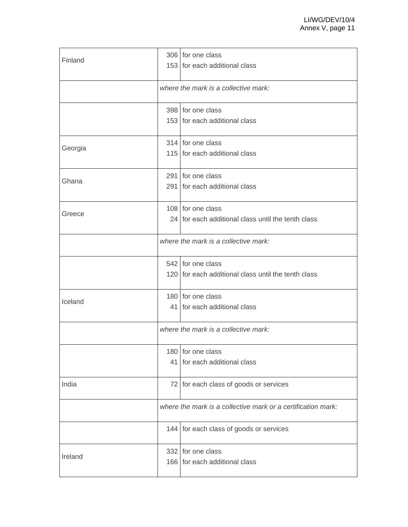| Finland | 306 for one class<br>153 for each additional class                       |
|---------|--------------------------------------------------------------------------|
|         | where the mark is a collective mark:                                     |
|         | 398 for one class<br>153 for each additional class                       |
| Georgia | 314 for one class<br>115 for each additional class                       |
| Ghana   | 291 for one class<br>291 for each additional class                       |
| Greece  | 108 for one class<br>24 for each additional class until the tenth class  |
|         | where the mark is a collective mark:                                     |
|         | 542 for one class<br>120 for each additional class until the tenth class |
| Iceland | 180 for one class<br>41 for each additional class                        |
|         | where the mark is a collective mark:                                     |
|         | 180 for one class<br>41 for each additional class                        |
| India   | 72 for each class of goods or services                                   |
|         | where the mark is a collective mark or a certification mark:             |
|         | 144 for each class of goods or services                                  |
| Ireland | 332 for one class<br>166 for each additional class                       |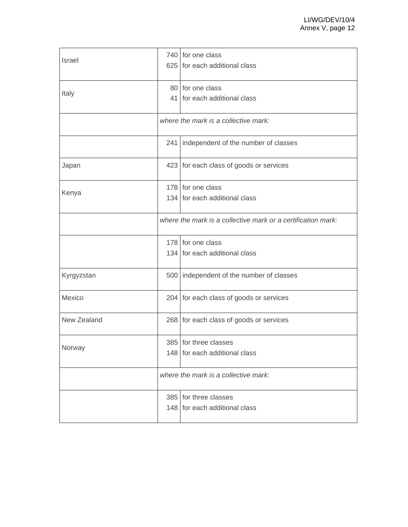| Israel      |     | 740 for one class<br>625 for each additional class           |
|-------------|-----|--------------------------------------------------------------|
| Italy       |     | 80 for one class<br>41 for each additional class             |
|             |     | where the mark is a collective mark:                         |
|             | 241 | independent of the number of classes                         |
| Japan       |     | 423 for each class of goods or services                      |
| Kenya       |     | 178 for one class<br>134 for each additional class           |
|             |     | where the mark is a collective mark or a certification mark: |
|             |     | 178 for one class<br>134 for each additional class           |
| Kyrgyzstan  |     | 500   independent of the number of classes                   |
| Mexico      |     | 204 for each class of goods or services                      |
| New Zealand |     | 268 for each class of goods or services                      |
| Norway      |     | 385 for three classes<br>148 for each additional class       |
|             |     | where the mark is a collective mark:                         |
|             |     | 385 for three classes<br>148 for each additional class       |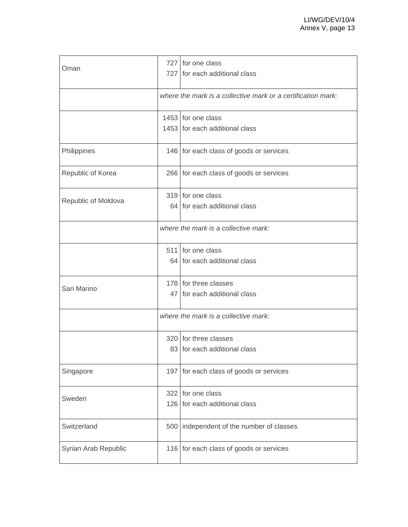| Oman                 |     | 727 for one class<br>727 for each additional class           |
|----------------------|-----|--------------------------------------------------------------|
|                      |     | where the mark is a collective mark or a certification mark: |
|                      |     | 1453 for one class<br>1453 for each additional class         |
| Philippines          |     | 146 for each class of goods or services                      |
| Republic of Korea    |     | 266 for each class of goods or services                      |
| Republic of Moldova  |     | 319 for one class<br>64 for each additional class            |
|                      |     | where the mark is a collective mark:                         |
|                      |     | 511 for one class<br>64 for each additional class            |
| San Marino           |     | 178 for three classes<br>47 for each additional class        |
|                      |     | where the mark is a collective mark:                         |
|                      |     | 320 for three classes<br>83 for each additional class        |
| Singapore            |     | 197 for each class of goods or services                      |
| Sweden               |     | 322 for one class<br>126 for each additional class           |
| Switzerland          | 500 | independent of the number of classes                         |
| Syrian Arab Republic |     | 116 for each class of goods or services                      |